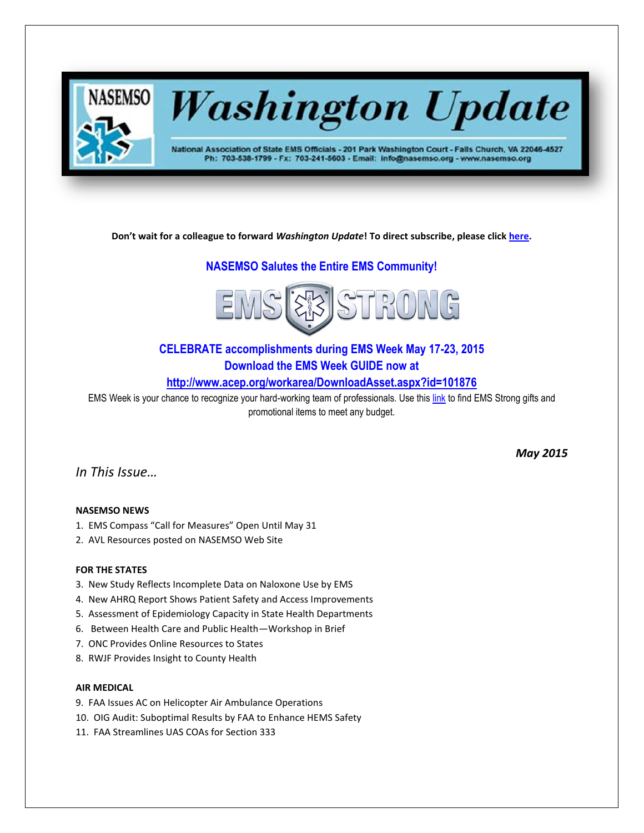

# **Washington Update**

National Association of State EMS Officials - 201 Park Washington Court - Falls Church, VA 22046-4527 Ph: 703-538-1799 - Fx: 703-241-5603 - Email: info@nasemso.org - www.nasemso.org

**Don't wait for a colleague to forward** *Washington Update***! To direct subscribe, please click [here.](http://lists.nasemso.org/read/all_forums/subscribe?name=wu%20)**

# **NASEMSO Salutes the Entire EMS Community!**



# **CELEBRATE accomplishments during EMS Week May 17-23, 2015 Download the EMS Week GUIDE now at**

**<http://www.acep.org/workarea/DownloadAsset.aspx?id=101876>**

EMS Week is your chance to recognize your hard-working team of professionals. Use thi[s link](https://www.jimcolemanstore.com/acep/) to find EMS Strong gifts and promotional items to meet any budget.

*In This Issue…*

# **NASEMSO NEWS**

- 1. EMS Compass "Call for Measures" Open Until May 31
- 2. AVL Resources posted on NASEMSO Web Site

# **FOR THE STATES**

- 3. New Study Reflects Incomplete Data on Naloxone Use by EMS
- 4. New AHRQ Report Shows Patient Safety and Access Improvements
- 5. Assessment of Epidemiology Capacity in State Health Departments
- 6. Between Health Care and Public Health—Workshop in Brief
- 7. ONC Provides Online Resources to States
- 8. RWJF Provides Insight to County Health

# **AIR MEDICAL**

- 9. FAA Issues AC on Helicopter Air Ambulance Operations
- 10. OIG Audit: Suboptimal Results by FAA to Enhance HEMS Safety
- 11. FAA Streamlines UAS COAs for Section 333

*May 2015*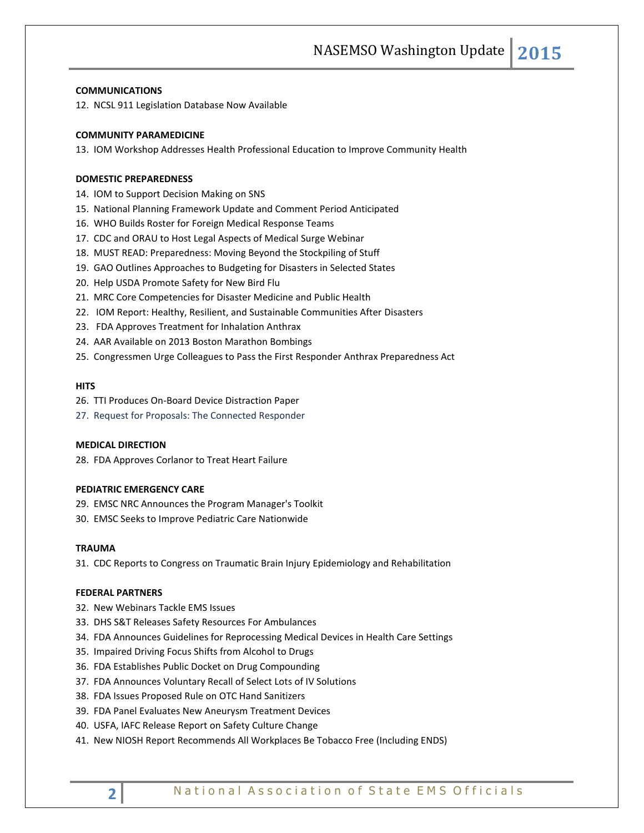#### **COMMUNICATIONS**

12. NCSL 911 Legislation Database Now Available

#### **COMMUNITY PARAMEDICINE**

13. IOM Workshop Addresses Health Professional Education to Improve Community Health

#### **DOMESTIC PREPAREDNESS**

14. IOM to Support Decision Making on SNS

- 15. National Planning Framework Update and Comment Period Anticipated
- 16. WHO Builds Roster for Foreign Medical Response Teams
- 17. CDC and ORAU to Host Legal Aspects of Medical Surge Webinar
- 18. MUST READ: Preparedness: Moving Beyond the Stockpiling of Stuff
- 19. GAO Outlines Approaches to Budgeting for Disasters in Selected States
- 20. Help USDA Promote Safety for New Bird Flu
- 21. MRC Core Competencies for Disaster Medicine and Public Health
- 22. IOM Report: Healthy, Resilient, and Sustainable Communities After Disasters
- 23. FDA Approves Treatment for Inhalation Anthrax
- 24. AAR Available on 2013 Boston Marathon Bombings
- 25. Congressmen Urge Colleagues to Pass the First Responder Anthrax Preparedness Act

#### **HITS**

- 26. TTI Produces On-Board Device Distraction Paper
- 27. Request for Proposals: The Connected Responder

# **MEDICAL DIRECTION**

28. FDA Approves Corlanor to Treat Heart Failure

### **PEDIATRIC EMERGENCY CARE**

- 29. EMSC NRC Announces the Program Manager's Toolkit
- 30. EMSC Seeks to Improve Pediatric Care Nationwide

#### **TRAUMA**

31. CDC Reports to Congress on Traumatic Brain Injury Epidemiology and Rehabilitation

#### **FEDERAL PARTNERS**

- 32. New Webinars Tackle EMS Issues
- 33. DHS S&T Releases Safety Resources For Ambulances
- 34. FDA Announces Guidelines for Reprocessing Medical Devices in Health Care Settings
- 35. Impaired Driving Focus Shifts from Alcohol to Drugs
- 36. FDA Establishes Public Docket on Drug Compounding
- 37. FDA Announces Voluntary Recall of Select Lots of IV Solutions
- 38. FDA Issues Proposed Rule on OTC Hand Sanitizers
- 39. FDA Panel Evaluates New Aneurysm Treatment Devices
- 40. USFA, IAFC Release Report on Safety Culture Change
- 41. New NIOSH Report Recommends All Workplaces Be Tobacco Free (Including ENDS)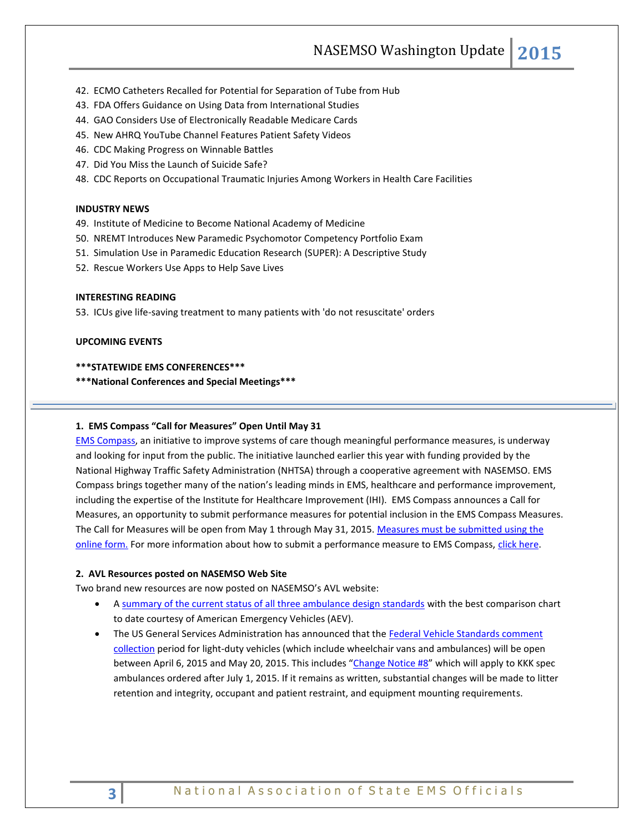NASEMSO Washington Update **2015**

- 42. ECMO Catheters Recalled for Potential for Separation of Tube from Hub
- 43. FDA Offers Guidance on Using Data from International Studies
- 44. GAO Considers Use of Electronically Readable Medicare Cards
- 45. New AHRQ YouTube Channel Features Patient Safety Videos
- 46. CDC Making Progress on Winnable Battles
- 47. Did You Miss the Launch of Suicide Safe?
- 48. CDC Reports on Occupational Traumatic Injuries Among Workers in Health Care Facilities

# **INDUSTRY NEWS**

- 49. Institute of Medicine to Become National Academy of Medicine
- 50. NREMT Introduces New Paramedic Psychomotor Competency Portfolio Exam
- 51. Simulation Use in Paramedic Education Research (SUPER): A Descriptive Study
- 52. Rescue Workers Use Apps to Help Save Lives

#### **INTERESTING READING**

53. ICUs give life-saving treatment to many patients with 'do not resuscitate' orders

# **UPCOMING EVENTS**

# **\*\*\*STATEWIDE EMS CONFERENCES\*\*\***

**\*\*\*National Conferences and Special Meetings\*\*\***

# **1. EMS Compass "Call for Measures" Open Until May 31**

[EMS Compass,](http://www.emscompass.org/) an initiative to improve systems of care though meaningful performance measures, is underway and looking for input from the public. The initiative launched earlier this year with funding provided by the National Highway Traffic Safety Administration (NHTSA) through a cooperative agreement with NASEMSO. EMS Compass brings together many of the nation's leading minds in EMS, healthcare and performance improvement, including the expertise of the Institute for Healthcare Improvement (IHI). EMS Compass announces a Call for Measures, an opportunity to submit performance measures for potential inclusion in the EMS Compass Measures. The Call for Measures will be open from May 1 through May 31, 2015. [Measures must be submitted using the](http://emscompass.org/call-for-measures/#cfmform)  [online form.](http://emscompass.org/call-for-measures/#cfmform) For more information about how to submit a performance measure to EMS Compass, [click here.](http://emscompass.org/call-for-measures/)

#### **2. AVL Resources posted on NASEMSO Web Site**

Two brand new resources are now posted on NASEMSO's [AVL website:](http://www.nasemso.org/Projects/AgencyAndVehicleLicensure/index.asp)

- A [summary of the current status of all three ambulance design standards](http://www.nasemso.org/Projects/AgencyAndVehicleLicensure/documents/Status-of-ambulance-standards-projects-30Mar2015.pdf) with the best comparison chart to date courtesy of American Emergency Vehicles (AEV).
- The US General Services Administration has announced that the Federal Vehicle Standards comment [collection](http://www.nasemso.org/Projects/AgencyAndVehicleLicensure/documents/GSA-Change-Order8-Announcement-and-Links.pdf) period for light-duty vehicles (which include wheelchair vans and ambulances) will be open between April 6, 2015 and May 20, 2015. This includes "[Change Notice #8](http://www.nasemso.org/Projects/AgencyAndVehicleLicensure/documents/Proposed-Change-Notice8-Ambulance-Standard-01Apr2015.pdf)" which will apply to KKK spec ambulances ordered after July 1, 2015. If it remains as written, substantial changes will be made to litter retention and integrity, occupant and patient restraint, and equipment mounting requirements.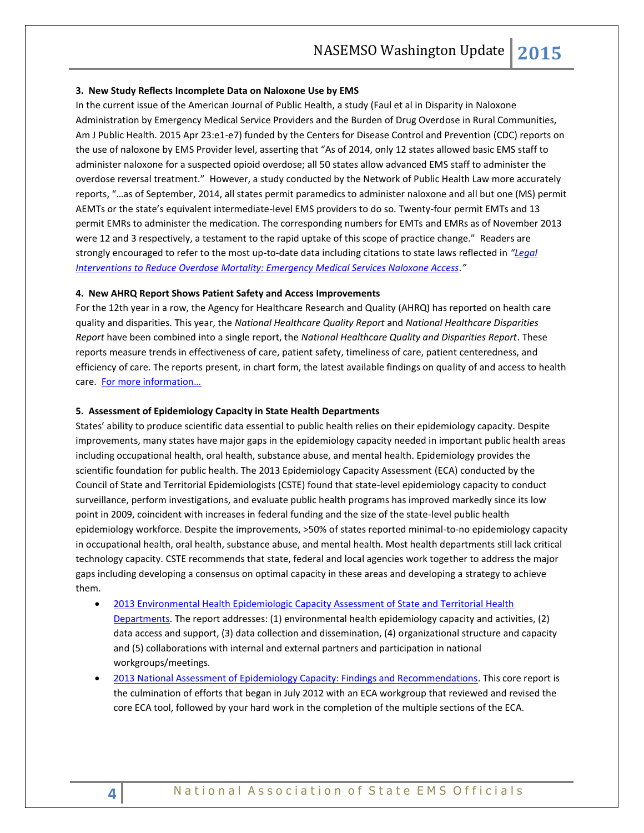#### **3. New Study Reflects Incomplete Data on Naloxone Use by EMS**

In the current issue of the American Journal of Public Health, a study (Faul et al in Disparity in Naloxone Administration by Emergency Medical Service Providers and the Burden of Drug Overdose in Rural Communities, Am J Public Health. 2015 Apr 23:e1-e7) funded by the Centers for Disease Control and Prevention (CDC) reports on the use of naloxone by EMS Provider level, asserting that "As of 2014, only 12 states allowed basic EMS staff to administer naloxone for a suspected opioid overdose; all 50 states allow advanced EMS staff to administer the overdose reversal treatment." However, a study conducted by the Network of Public Health Law more accurately reports, "…as of September, 2014, all states permit paramedics to administer naloxone and all but one (MS) permit AEMTs or the state's equivalent intermediate-level EMS providers to do so. Twenty-four permit EMTs and 13 permit EMRs to administer the medication. The corresponding numbers for EMTs and EMRs as of November 2013 were 12 and 3 respectively, a testament to the rapid uptake of this scope of practice change." Readers are strongly encouraged to refer to the most up-to-date data including citations to state laws reflected in *"[Legal](https://www.networkforphl.org/_asset/8b7kmi/EMS-naloxone-overview.pdf)  [Interventions to Reduce Overdose Mortality: Emergency Medical Services Naloxone Access](https://www.networkforphl.org/_asset/8b7kmi/EMS-naloxone-overview.pdf)."*

#### **4. New AHRQ Report Shows Patient Safety and Access Improvements**

For the 12th year in a row, the Agency for Healthcare Research and Quality (AHRQ) has reported on health care quality and disparities. This year, the *National Healthcare Quality Report* and *National Healthcare Disparities Report* have been combined into a single report, the *National Healthcare Quality and Disparities Report*. These reports measure trends in effectiveness of care, patient safety, timeliness of care, patient centeredness, and efficiency of care. The reports present, in chart form, the latest available findings on quality of and access to health care. [For more information…](http://www.ahrq.gov/research/findings/nhqrdr/index.html)

#### **5. Assessment of Epidemiology Capacity in State Health Departments**

States' ability to produce scientific data essential to public health relies on their epidemiology capacity. Despite improvements, many states have major gaps in the epidemiology capacity needed in important public health areas including occupational health, oral health, substance abuse, and mental health. Epidemiology provides the scientific foundation for public health. The 2013 Epidemiology Capacity Assessment (ECA) conducted by the Council of State and Territorial Epidemiologists (CSTE) found that state-level epidemiology capacity to conduct surveillance, perform investigations, and evaluate public health programs has improved markedly since its low point in 2009, coincident with increases in federal funding and the size of the state-level public health epidemiology workforce. Despite the improvements, >50% of states reported minimal-to-no epidemiology capacity in occupational health, oral health, substance abuse, and mental health. Most health departments still lack critical technology capacity. CSTE recommends that state, federal and local agencies work together to address the major gaps including developing a consensus on optimal capacity in these areas and developing a strategy to achieve them.

- 2013 Environmental Health Epidemiologic Capacity Assessment of State and Territorial Health [Departments.](http://www.cste2.org/2013eca/CSTEEHEpidemiologyCapacityAssessment2014final.pdf) The report addresses: (1) environmental health epidemiology capacity and activities, (2) data access and support, (3) data collection and dissemination, (4) organizational structure and capacity and (5) collaborations with internal and external partners and participation in national workgroups/meetings.
- [2013 National Assessment of Epidemiology Capacity: Findings and Recommendations.](http://www.cste2.org/2013eca/CSTEEpidemiologyCapacityAssessment2014-final2.pdf) This core report is the culmination of efforts that began in July 2012 with an ECA workgroup that reviewed and revised the core ECA tool, followed by your hard work in the completion of the multiple sections of the ECA.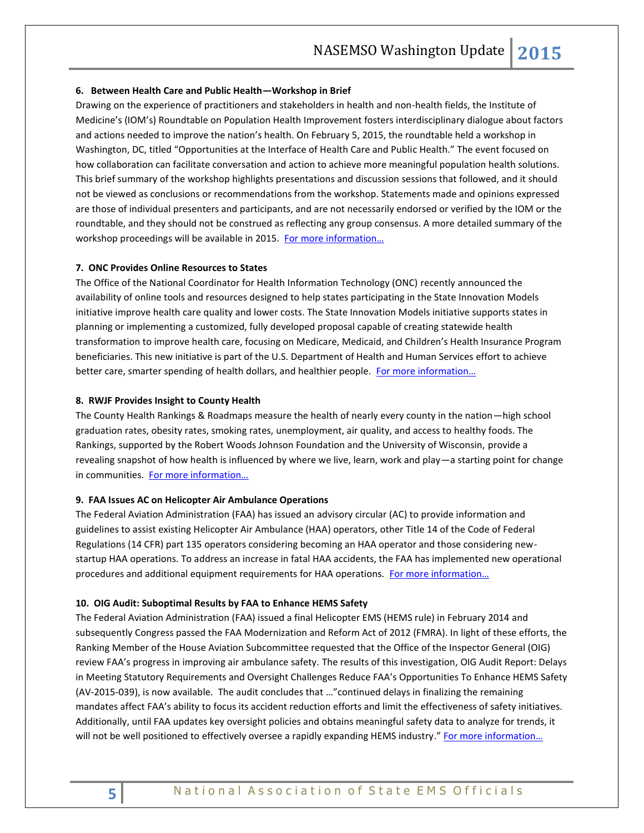#### **6. Between Health Care and Public Health—Workshop in Brief**

Drawing on the experience of practitioners and stakeholders in health and non-health fields, the Institute of Medicine's (IOM's) Roundtable on Population Health Improvement fosters interdisciplinary dialogue about factors and actions needed to improve the nation's health. On February 5, 2015, the roundtable held a workshop in Washington, DC, titled "Opportunities at the Interface of Health Care and Public Health." The event focused on how collaboration can facilitate conversation and action to achieve more meaningful population health solutions. This brief summary of the workshop highlights presentations and discussion sessions that followed, and it should not be viewed as conclusions or recommendations from the workshop. Statements made and opinions expressed are those of individual presenters and participants, and are not necessarily endorsed or verified by the IOM or the roundtable, and they should not be construed as reflecting any group consensus. A more detailed summary of the workshop proceedings will be available in 2015. [For more information…](http://www.iom.edu/Reports/2015/PH-and-HC-WIB.aspx)

#### **7. ONC Provides Online Resources to States**

The Office of the National Coordinator for Health Information Technology (ONC) recently announced the availability of online tools and resources designed to help states participating in the State Innovation Models initiative improve health care quality and lower costs. The State Innovation Models initiative supports states in planning or implementing a customized, fully developed proposal capable of creating statewide health transformation to improve health care, focusing on Medicare, Medicaid, and Children's Health Insurance Program beneficiaries. This new initiative is part of the U.S. Department of Health and Human Services effort to achieve better care, smarter spending of health dollars, and healthier people. For more information...

#### **8. RWJF Provides Insight to County Health**

The County Health Rankings & Roadmaps measure the health of nearly every county in the nation—high school graduation rates, obesity rates, smoking rates, unemployment, air quality, and access to healthy foods. The Rankings, supported by the Robert Woods Johnson Foundation and the University of Wisconsin, provide a revealing snapshot of how health is influenced by where we live, learn, work and play—a starting point for change in communities. For more information...

#### **9. FAA Issues AC on Helicopter Air Ambulance Operations**

The Federal Aviation Administration (FAA) has issued an advisory circular (AC) to provide information and guidelines to assist existing Helicopter Air Ambulance (HAA) operators, other Title 14 of the Code of Federal Regulations (14 CFR) part 135 operators considering becoming an HAA operator and those considering newstartup HAA operations. To address an increase in fatal HAA accidents, the FAA has implemented new operational procedures and additional equipment requirements for HAA operations. [For more information…](https://www.faa.gov/regulations_policies/advisory_circulars/index.cfm/go/document.information/documentID/1027108)

#### **10. OIG Audit: Suboptimal Results by FAA to Enhance HEMS Safety**

The Federal Aviation Administration (FAA) issued a final Helicopter EMS (HEMS rule) in February 2014 and subsequently Congress passed the FAA Modernization and Reform Act of 2012 (FMRA). In light of these efforts, the Ranking Member of the House Aviation Subcommittee requested that the Office of the Inspector General (OIG) review FAA's progress in improving air ambulance safety. The results of this investigation, OIG Audit Report: Delays in Meeting Statutory Requirements and Oversight Challenges Reduce FAA's Opportunities To Enhance HEMS Safety (AV-2015-039), is now available. The audit concludes that …"continued delays in finalizing the remaining mandates affect FAA's ability to focus its accident reduction efforts and limit the effectiveness of safety initiatives. Additionally, until FAA updates key oversight policies and obtains meaningful safety data to analyze for trends, it will not be well positioned to effectively oversee a rapidly expanding HEMS industry." For more information...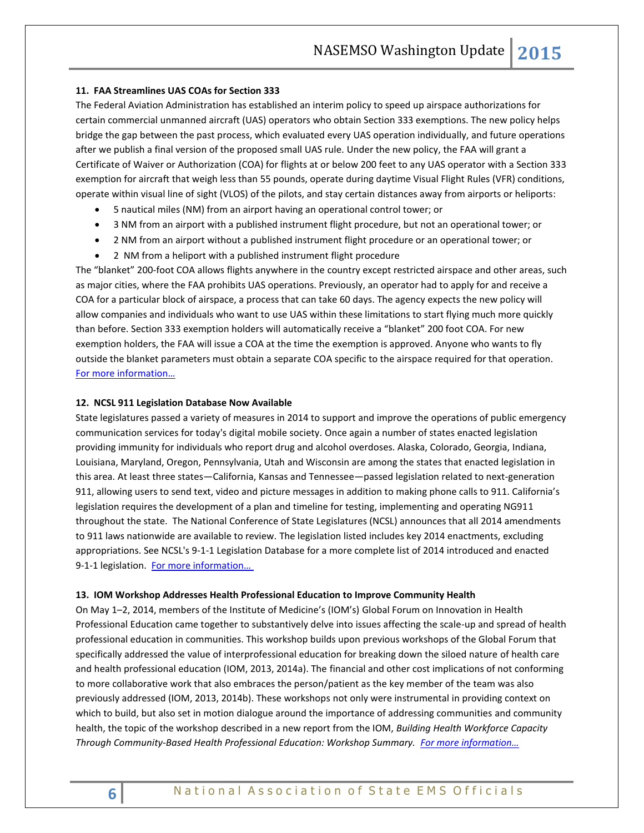#### **11. FAA Streamlines UAS COAs for Section 333**

The Federal Aviation Administration has established an interim policy to speed up airspace authorizations for certain commercial unmanned aircraft (UAS) operators who obtain Section 333 exemptions. The new policy helps bridge the gap between the past process, which evaluated every UAS operation individually, and future operations after we publish a final version of the proposed small UAS rule. Under the new policy, the FAA will grant a Certificate of Waiver or Authorization (COA) for flights at or below 200 feet to any UAS operator with a Section 333 exemption for aircraft that weigh less than 55 pounds, operate during daytime Visual Flight Rules (VFR) conditions, operate within visual line of sight (VLOS) of the pilots, and stay certain distances away from airports or heliports:

- 5 nautical miles (NM) from an airport having an operational control tower; or
- 3 NM from an airport with a published instrument flight procedure, but not an operational tower; or
- 2 NM from an airport without a published instrument flight procedure or an operational tower; or
- 2 NM from a heliport with a published instrument flight procedure

The "blanket" 200-foot COA allows flights anywhere in the country except restricted airspace and other areas, such as major cities, where the FAA prohibits UAS operations. Previously, an operator had to apply for and receive a COA for a particular block of airspace, a process that can take 60 days. The agency expects the new policy will allow companies and individuals who want to use UAS within these limitations to start flying much more quickly than before. Section 333 exemption holders will automatically receive a "blanket" 200 foot COA. For new exemption holders, the FAA will issue a COA at the time the exemption is approved. Anyone who wants to fly outside the blanket parameters must obtain a separate COA specific to the airspace required for that operation. [For more information…](http://www.faa.gov/uas/)

# **12. NCSL 911 Legislation Database Now Available**

State legislatures passed a variety of measures in 2014 to support and improve the operations of public emergency communication services for today's digital mobile society. Once again a number of states enacted legislation providing immunity for individuals who report drug and alcohol overdoses. Alaska, Colorado, Georgia, Indiana, Louisiana, Maryland, Oregon, Pennsylvania, Utah and Wisconsin are among the states that enacted legislation in this area. At least three states—California, Kansas and Tennessee—passed legislation related to next-generation 911, allowing users to send text, video and picture messages in addition to making phone calls to 911. California's legislation requires the development of a plan and timeline for testing, implementing and operating NG911 throughout the state. The National Conference of State Legislatures (NCSL) announces that all 2014 amendments to 911 laws nationwide are available to review. The legislation listed includes key 2014 enactments, excluding appropriations. See NCSL's [9-1-1 Legislation Database](http://www.ncsl.org/default.aspx?tabid=24196) for a more complete list of 2014 introduced and enacted 9-1-1 legislation. For more information...

#### **13. IOM Workshop Addresses Health Professional Education to Improve Community Health**

On May 1–2, 2014, members of the Institute of Medicine's (IOM's) Global Forum on Innovation in Health Professional Education came together to substantively delve into issues affecting the scale-up and spread of health professional education in communities. This workshop builds upon previous workshops of the Global Forum that specifically addressed the value of interprofessional education for breaking down the siloed nature of health care and health professional education (IOM, 2013, 2014a). The financial and other cost implications of not conforming to more collaborative work that also embraces the person/patient as the key member of the team was also previously addressed (IOM, 2013, 2014b). These workshops not only were instrumental in providing context on which to build, but also set in motion dialogue around the importance of addressing communities and community health, the topic of the workshop described in a new report from the IOM, *Building Health Workforce Capacity Through Community-Based Health Professional Education: Workshop Summary. [For more information…](http://www.nap.edu/catalog/18973/building-health-workforce-capacity-through-community-based-health-professional-education)*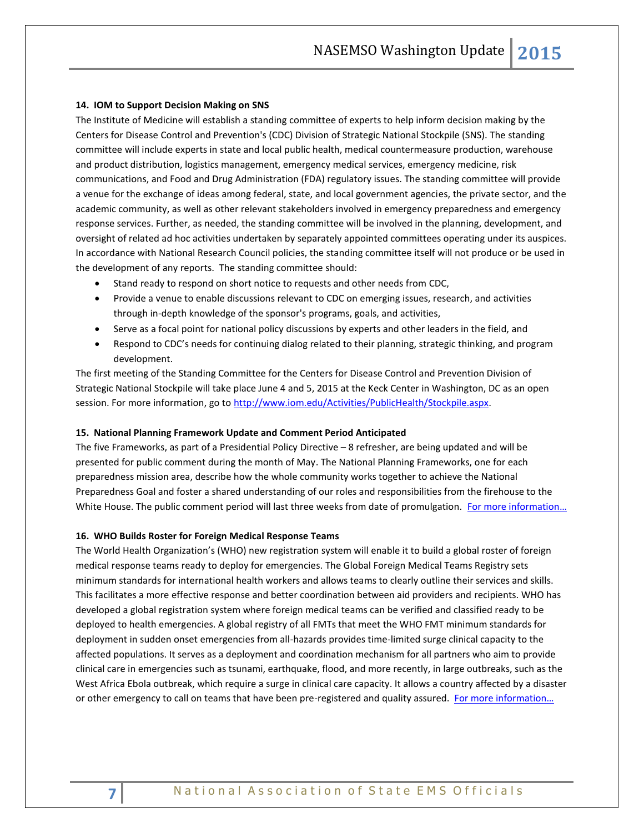## **14. IOM to Support Decision Making on SNS**

The Institute of Medicine will establish a standing committee of experts to help inform decision making by the Centers for Disease Control and Prevention's (CDC) Division of Strategic National Stockpile (SNS). The standing committee will include experts in state and local public health, medical countermeasure production, warehouse and product distribution, logistics management, emergency medical services, emergency medicine, risk communications, and Food and Drug Administration (FDA) regulatory issues. The standing committee will provide a venue for the exchange of ideas among federal, state, and local government agencies, the private sector, and the academic community, as well as other relevant stakeholders involved in emergency preparedness and emergency response services. Further, as needed, the standing committee will be involved in the planning, development, and oversight of related ad hoc activities undertaken by separately appointed committees operating under its auspices. In accordance with National Research Council policies, the standing committee itself will not produce or be used in the development of any reports. The standing committee should:

- Stand ready to respond on short notice to requests and other needs from CDC,
- Provide a venue to enable discussions relevant to CDC on emerging issues, research, and activities through in-depth knowledge of the sponsor's programs, goals, and activities,
- Serve as a focal point for national policy discussions by experts and other leaders in the field, and
- Respond to CDC's needs for continuing dialog related to their planning, strategic thinking, and program development.

The first meeting of the Standing Committee for the Centers for Disease Control and Prevention Division of Strategic National Stockpile will take place June 4 and 5, 2015 at the Keck Center in Washington, DC as an open session. For more information, go to [http://www.iom.edu/Activities/PublicHealth/Stockpile.aspx.](http://www.iom.edu/Activities/PublicHealth/Stockpile.aspx)

#### **15. National Planning Framework Update and Comment Period Anticipated**

The five Frameworks, as part of a Presidential Policy Directive – 8 refresher, are being updated and will be presented for public comment during the month of May. The National Planning Frameworks, one for each preparedness mission area, describe how the whole community works together to achieve the National Preparedness Goal and foster a shared understanding of our roles and responsibilities from the firehouse to the White House. The public comment period will last three weeks from date of promulgation. For more information...

#### **16. WHO Builds Roster for Foreign Medical Response Teams**

The World Health Organization's (WHO) new registration system will enable it to build a global roster of foreign medical response teams ready to deploy for emergencies. The Global Foreign Medical Teams Registry sets minimum standards for international health workers and allows teams to clearly outline their services and skills. This facilitates a more effective response and better coordination between aid providers and recipients. WHO has developed a global registration system where foreign medical teams can be verified and classified ready to be deployed to health emergencies. A global registry of all FMTs that meet the WHO FMT minimum standards for deployment in sudden onset emergencies from all-hazards provides time-limited surge clinical capacity to the affected populations. It serves as a deployment and coordination mechanism for all partners who aim to provide clinical care in emergencies such as tsunami, earthquake, flood, and more recently, in large outbreaks, such as the West Africa Ebola outbreak, which require a surge in clinical care capacity. It allows a country affected by a disaster or other emergency to call on teams that have been pre-registered and quality assured. For more information...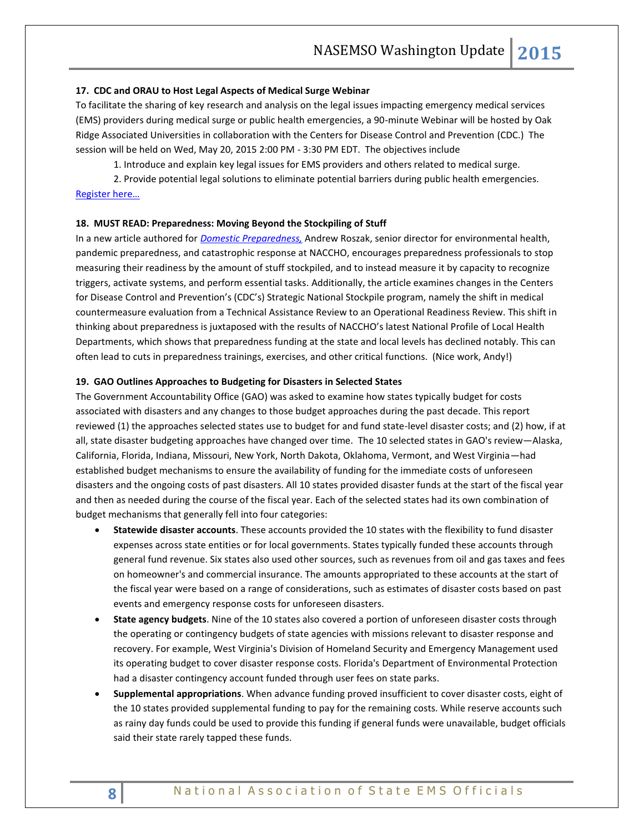#### **17. CDC and ORAU to Host Legal Aspects of Medical Surge Webinar**

To facilitate the sharing of key research and analysis on the legal issues impacting emergency medical services (EMS) providers during medical surge or public health emergencies, a 90-minute Webinar will be hosted by Oak Ridge Associated Universities in collaboration with the Centers for Disease Control and Prevention (CDC.) The session will be held on Wed, May 20, 2015 2:00 PM - 3:30 PM EDT. The objectives include

1. Introduce and explain key legal issues for EMS providers and others related to medical surge.

2. Provide potential legal solutions to eliminate potential barriers during public health emergencies. [Register here…](https://attendee.gotowebinar.com/register/4524116880042034434)

# **18. MUST READ: Preparedness: Moving Beyond the Stockpiling of Stuff**

In a new article authored for *[Domestic Preparedness,](http://www.domesticpreparedness.com/Medical_Response/Health_Systems/Preparedness%3a_Moving_Beyond_the_Stockpiling_of_Stuff/)* Andrew Roszak, senior director for environmental health, pandemic preparedness, and catastrophic response at NACCHO, encourages preparedness professionals to stop measuring their readiness by the amount of stuff stockpiled, and to instead measure it by capacity to recognize triggers, activate systems, and perform essential tasks. Additionally, the article examines changes in the Centers for Disease Control and Prevention's (CDC's) Strategic National Stockpile program, namely the shift in medical countermeasure evaluation from a Technical Assistance Review to an Operational Readiness Review. This shift in thinking about preparedness is juxtaposed with the results of NACCHO's latest National Profile of Local Health Departments, which shows that preparedness funding at the state and local levels has declined notably. This can often lead to cuts in preparedness trainings, exercises, and other critical functions. (Nice work, Andy!)

#### **19. GAO Outlines Approaches to Budgeting for Disasters in Selected States**

The Government Accountability Office (GAO) was asked to examine how states typically budget for costs associated with disasters and any changes to those budget approaches during the past decade. This report reviewed (1) the approaches selected states use to budget for and fund state-level disaster costs; and (2) how, if at all, state disaster budgeting approaches have changed over time. The 10 selected states in GAO's review—Alaska, California, Florida, Indiana, Missouri, New York, North Dakota, Oklahoma, Vermont, and West Virginia—had established budget mechanisms to ensure the availability of funding for the immediate costs of unforeseen disasters and the ongoing costs of past disasters. All 10 states provided disaster funds at the start of the fiscal year and then as needed during the course of the fiscal year. Each of the selected states had its own combination of budget mechanisms that generally fell into four categories:

- **Statewide disaster accounts**. These accounts provided the 10 states with the flexibility to fund disaster expenses across state entities or for local governments. States typically funded these accounts through general fund revenue. Six states also used other sources, such as revenues from oil and gas taxes and fees on homeowner's and commercial insurance. The amounts appropriated to these accounts at the start of the fiscal year were based on a range of considerations, such as estimates of disaster costs based on past events and emergency response costs for unforeseen disasters.
- **State agency budgets**. Nine of the 10 states also covered a portion of unforeseen disaster costs through the operating or contingency budgets of state agencies with missions relevant to disaster response and recovery. For example, West Virginia's Division of Homeland Security and Emergency Management used its operating budget to cover disaster response costs. Florida's Department of Environmental Protection had a disaster contingency account funded through user fees on state parks.
- **Supplemental appropriations**. When advance funding proved insufficient to cover disaster costs, eight of the 10 states provided supplemental funding to pay for the remaining costs. While reserve accounts such as rainy day funds could be used to provide this funding if general funds were unavailable, budget officials said their state rarely tapped these funds.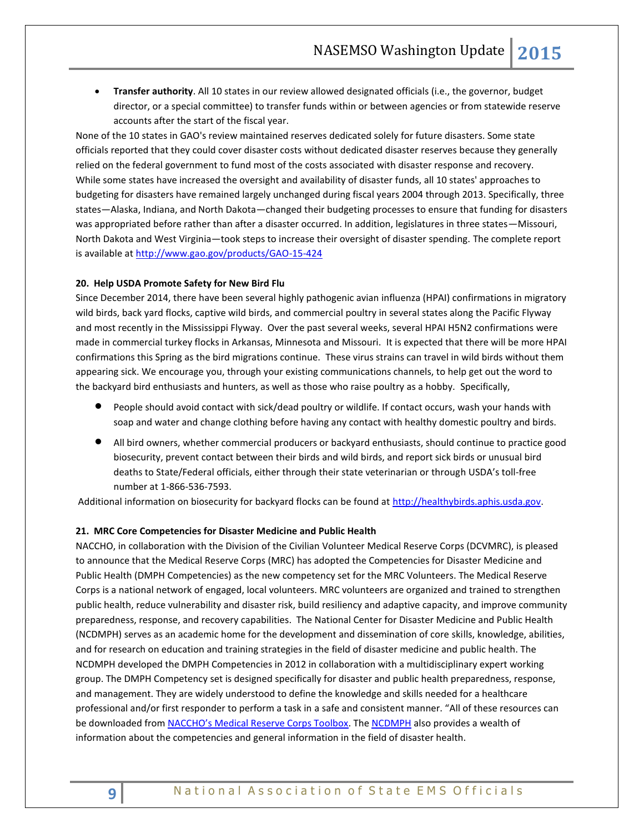**Transfer authority**. All 10 states in our review allowed designated officials (i.e., the governor, budget director, or a special committee) to transfer funds within or between agencies or from statewide reserve accounts after the start of the fiscal year.

None of the 10 states in GAO's review maintained reserves dedicated solely for future disasters. Some state officials reported that they could cover disaster costs without dedicated disaster reserves because they generally relied on the federal government to fund most of the costs associated with disaster response and recovery. While some states have increased the oversight and availability of disaster funds, all 10 states' approaches to budgeting for disasters have remained largely unchanged during fiscal years 2004 through 2013. Specifically, three states—Alaska, Indiana, and North Dakota—changed their budgeting processes to ensure that funding for disasters was appropriated before rather than after a disaster occurred. In addition, legislatures in three states—Missouri, North Dakota and West Virginia—took steps to increase their oversight of disaster spending. The complete report is available at<http://www.gao.gov/products/GAO-15-424>

#### **20. Help USDA Promote Safety for New Bird Flu**

Since December 2014, there have been several highly pathogenic avian influenza (HPAI) confirmations in migratory wild birds, back yard flocks, captive wild birds, and commercial poultry in several states along the Pacific Flyway and most recently in the Mississippi Flyway. Over the past several weeks, several HPAI H5N2 confirmations were made in commercial turkey flocks in Arkansas, Minnesota and Missouri. It is expected that there will be more HPAI confirmations this Spring as the bird migrations continue. These virus strains can travel in wild birds without them appearing sick. We encourage you, through your existing communications channels, to help get out the word to the backyard bird enthusiasts and hunters, as well as those who raise poultry as a hobby. Specifically,

- People should avoid contact with sick/dead poultry or wildlife. If contact occurs, wash your hands with soap and water and change clothing before having any contact with healthy domestic poultry and birds.
- All bird owners, whether commercial producers or backyard enthusiasts, should continue to practice good biosecurity, prevent contact between their birds and wild birds, and report sick birds or unusual bird deaths to State/Federal officials, either through their state veterinarian or through USDA's toll-free number at 1-866-536-7593.

Additional information on biosecurity for backyard flocks can be found at [http://healthybirds.aphis.usda.gov.](http://healthybirds.aphis.usda.gov/)

#### **21. MRC Core Competencies for Disaster Medicine and Public Health**

NACCHO, in collaboration with the Division of the Civilian Volunteer Medical Reserve Corps (DCVMRC), is pleased to announce that the Medical Reserve Corps (MRC) has adopted the Competencies for Disaster Medicine and Public Health (DMPH Competencies) as the new competency set for the MRC Volunteers. The Medical Reserve Corps is a national network of engaged, local volunteers. MRC volunteers are organized and trained to strengthen public health, reduce vulnerability and disaster risk, build resiliency and adaptive capacity, and improve community preparedness, response, and recovery capabilities. The National Center for Disaster Medicine and Public Health (NCDMPH) serves as an academic home for the development and dissemination of core skills, knowledge, abilities, and for research on education and training strategies in the field of disaster medicine and public health. The NCDMPH developed the DMPH Competencies in 2012 in collaboration with a multidisciplinary expert working group. The DMPH Competency set is designed specifically for disaster and public health preparedness, response, and management. They are widely understood to define the knowledge and skills needed for a healthcare professional and/or first responder to perform a task in a safe and consistent manner. "All of these resources can be downloaded from [NACCHO's Medical Reserve Corps Toolbox](http://www.naccho.org/toolbox/). Th[e NCDMPH](https://ncdmph.usuhs.edu/KnowledgeLearning/2013-CompetenciesResources.htm) also provides a wealth of information about the competencies and general information in the field of disaster health.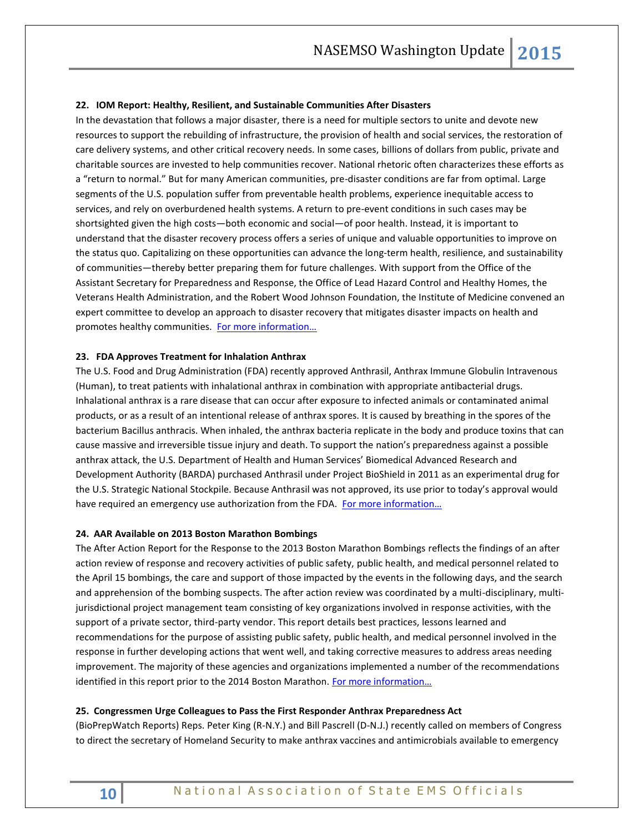#### **22. IOM Report: Healthy, Resilient, and Sustainable Communities After Disasters**

In the devastation that follows a major disaster, there is a need for multiple sectors to unite and devote new resources to support the rebuilding of infrastructure, the provision of health and social services, the restoration of care delivery systems, and other critical recovery needs. In some cases, billions of dollars from public, private and charitable sources are invested to help communities recover. National rhetoric often characterizes these efforts as a "return to normal." But for many American communities, pre-disaster conditions are far from optimal. Large segments of the U.S. population suffer from preventable health problems, experience inequitable access to services, and rely on overburdened health systems. A return to pre-event conditions in such cases may be shortsighted given the high costs—both economic and social—of poor health. Instead, it is important to understand that the disaster recovery process offers a series of unique and valuable opportunities to improve on the status quo. Capitalizing on these opportunities can advance the long-term health, resilience, and sustainability of communities—thereby better preparing them for future challenges. With support from the Office of the Assistant Secretary for Preparedness and Response, the Office of Lead Hazard Control and Healthy Homes, the Veterans Health Administration, and the Robert Wood Johnson Foundation, the Institute of Medicine convened an expert committee to develop an approach to disaster recovery that mitigates disaster impacts on health and promotes healthy communities. [For more information…](http://www.iom.edu/Reports/2015/Post-Disaster.aspx)

#### **23. FDA Approves Treatment for Inhalation Anthrax**

The U.S. Food and Drug Administration (FDA) recently approved Anthrasil, Anthrax Immune Globulin Intravenous (Human), to treat patients with inhalational anthrax in combination with appropriate antibacterial drugs. Inhalational anthrax is a rare disease that can occur after exposure to infected animals or contaminated animal products, or as a result of an intentional release of anthrax spores. It is caused by breathing in the spores of the bacterium Bacillus anthracis. When inhaled, the anthrax bacteria replicate in the body and produce toxins that can cause massive and irreversible tissue injury and death. To support the nation's preparedness against a possible anthrax attack, the U.S. Department of Health and Human Services' Biomedical Advanced Research and Development Authority (BARDA) purchased Anthrasil under Project BioShield in 2011 as an experimental drug for the U.S. Strategic National Stockpile. Because Anthrasil was not approved, its use prior to today's approval would have required an emergency use authorization from the FDA. [For more information…](http://www.fda.gov/NewsEvents/Newsroom/PressAnnouncements/ucm439752.htm)

#### **24. AAR Available on 2013 Boston Marathon Bombings**

The After Action Report for the Response to the 2013 Boston Marathon Bombings reflects the findings of an after action review of response and recovery activities of public safety, public health, and medical personnel related to the April 15 bombings, the care and support of those impacted by the events in the following days, and the search and apprehension of the bombing suspects. The after action review was coordinated by a multi-disciplinary, multijurisdictional project management team consisting of key organizations involved in response activities, with the support of a private sector, third-party vendor. This report details best practices, lessons learned and recommendations for the purpose of assisting public safety, public health, and medical personnel involved in the response in further developing actions that went well, and taking corrective measures to address areas needing improvement. The majority of these agencies and organizations implemented a number of the recommendations identified in this report prior to the 2014 Boston Marathon. [For more in](http://www.mass.gov/eopss/docs/mema/after-action-report-for-the-response-to-the-2013-boston-marathon-bombings.pdf)formation...

#### **25. Congressmen Urge Colleagues to Pass the First Responder Anthrax Preparedness Act**

(BioPrepWatch Reports) Reps. Peter King (R-N.Y.) and Bill Pascrell (D-N.J.) recently called on members of Congress to direct the secretary of Homeland Security to make anthrax vaccines and antimicrobials available to emergency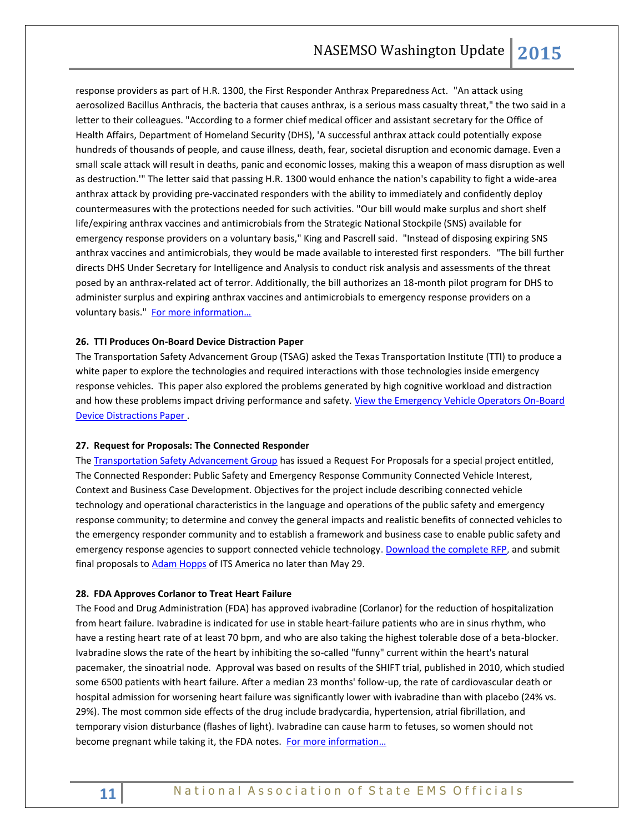response providers as part of H.R. 1300, the First Responder Anthrax Preparedness Act. "An attack using aerosolized Bacillus Anthracis, the bacteria that causes anthrax, is a serious mass casualty threat," the two said in a letter to their colleagues. "According to a former chief medical officer and assistant secretary for the Office of Health Affairs, Department of Homeland Security (DHS), 'A successful anthrax attack could potentially expose hundreds of thousands of people, and cause illness, death, fear, societal disruption and economic damage. Even a small scale attack will result in deaths, panic and economic losses, making this a weapon of mass disruption as well as destruction.'" The letter said that passing H.R. 1300 would enhance the nation's capability to fight a wide-area anthrax attack by providing pre-vaccinated responders with the ability to immediately and confidently deploy countermeasures with the protections needed for such activities. "Our bill would make surplus and short shelf life/expiring anthrax vaccines and antimicrobials from the Strategic National Stockpile (SNS) available for emergency response providers on a voluntary basis," King and Pascrell said. "Instead of disposing expiring SNS anthrax vaccines and antimicrobials, they would be made available to interested first responders. "The bill further directs DHS Under Secretary for Intelligence and Analysis to conduct risk analysis and assessments of the threat posed by an anthrax-related act of terror. Additionally, the bill authorizes an 18-month pilot program for DHS to administer surplus and expiring anthrax vaccines and antimicrobials to emergency response providers on a voluntary basis." For more information...

#### **26. TTI Produces On-Board Device Distraction Paper**

The Transportation Safety Advancement Group (TSAG) asked the Texas Transportation Institute (TTI) to produce a white paper to explore the technologies and required interactions with those technologies inside emergency response vehicles. This paper also explored the problems generated by high cognitive workload and distraction and how these problems impact driving performance and safety. View the Emergency Vehicle Operators On-Board [Device Distractions Paper](http://www.tsag-its.org/media/emergency-vehicle-operator-on-board-device-distractions-revised-report-2-19-15.pdf) .

#### **27. Request for Proposals: The Connected Responder**

The [Transportation Safety Advancement Group](http://r.smartbrief.com/resp/gFARCqvpgqCOjNzSCidKogBWcNDTEk) has issued a Request For Proposals for a special project entitled, The Connected Responder: Public Safety and Emergency Response Community Connected Vehicle Interest, Context and Business Case Development. Objectives for the project include describing connected vehicle technology and operational characteristics in the language and operations of the public safety and emergency response community; to determine and convey the general impacts and realistic benefits of connected vehicles to the emergency responder community and to establish a framework and business case to enable public safety and emergency response agencies to support connected vehicle technology. [Download the complete RFP,](http://r.smartbrief.com/resp/gFARCqvpgqCOjNzTCidKogBWcNEDPD) and submit final proposals to [Adam Hopps](mailto:ahopps@itsa.org) of ITS America no later than May 29.

#### **28. FDA Approves Corlanor to Treat Heart Failure**

The Food and Drug Administration (FDA) has approved ivabradine (Corlanor) for the reduction of hospitalization from heart failure. Ivabradine is indicated for use in stable heart-failure patients who are in sinus rhythm, who have a resting heart rate of at least 70 bpm, and who are also taking the highest tolerable dose of a beta-blocker. Ivabradine slows the rate of the heart by inhibiting the so-called "funny" current within the heart's natural pacemaker, the sinoatrial node. Approval was based on results of the SHIFT trial, published in 2010, which studied some 6500 patients with heart failure. After a median 23 months' follow-up, the rate of cardiovascular death or hospital admission for worsening heart failure was significantly lower with ivabradine than with placebo (24% vs. 29%). The most common side effects of the drug include bradycardia, hypertension, atrial fibrillation, and temporary vision disturbance (flashes of light). Ivabradine can cause harm to fetuses, so women should not become pregnant while taking it, the FDA notes. [For more information…](http://www.fda.gov/NewsEvents/Newsroom/PressAnnouncements/ucm442978.htm)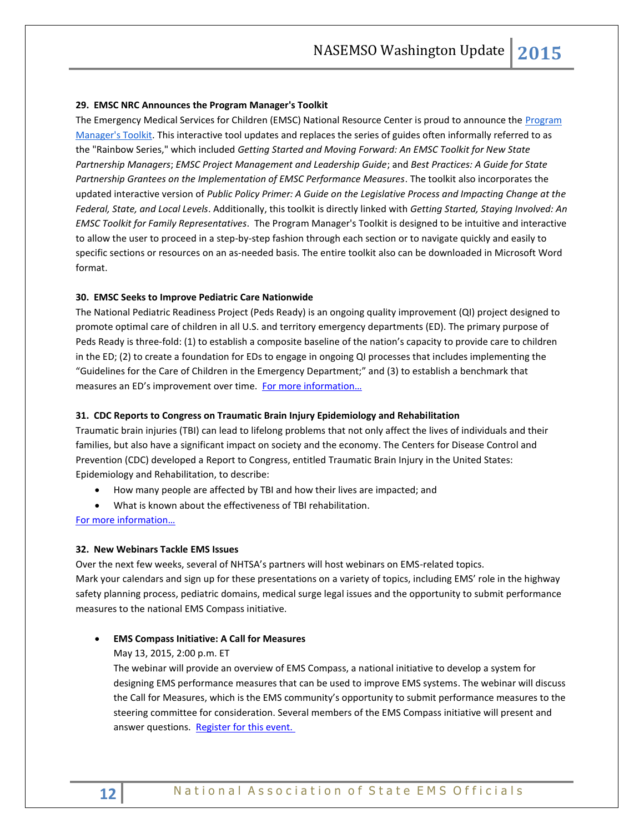### **29. EMSC NRC Announces the Program Manager's Toolkit**

The Emergency Medical Services for Children (EMSC) National Resource Center is proud to announce the Program [Manager's Toolkit.](http://r20.rs6.net/tn.jsp?f=001dCnshXOl8uA4TLf2TcfHU4ozsJenEV2wj28yPyGpALlowmEIsXp06jz-nNzLzk4ASGw6f5G_Wo4ZfHBxByMHN3LDX5vXMEKY167g92K3bBl-Gx1Cc8uFPAGReWHy1k0KgJyUcIc257OsNnzgun9C0CdfTUajOX4EXo-dNOVn70AiUH5VcjWVquQp_RjD8SM5lWZQ3q8jbeGHg3KcJ-QQX1v_82zXLKHwG4r_xj6G_Vr9_V_v_KgTp_dDMCGw4tNUe6pODGHKIFj2J14Gf1fIk1BXbKJ8o_VLHvogzrSAzth3MbhcpubZX2iwA8Vnsb-cSqD3bYFopXRimbSXUJsQTVT2MGazK-iwelcr6jQDPS4gaI723GziiTXwpUV3I7yYc01qixEhau2_sxgQKvULmw==&c=3vWjjaIHYqcSLGEtNsq02Uy5k6R0Og2-rKq8exjuvTypUeBEhxbZfA==&ch=ri1HDBlNy1LUFN5UcSa9PU5YuL70mAmPYZeicdvtH2xy8xO1bKgKIQ==) This interactive tool updates and replaces the series of guides often informally referred to as the "Rainbow Series," which included *Getting Started and Moving Forward: An EMSC Toolkit for New State Partnership Managers*; *EMSC Project Management and Leadership Guide*; and *Best Practices: A Guide for State Partnership Grantees on the Implementation of EMSC Performance Measures*. The toolkit also incorporates the updated interactive version of *Public Policy Primer: A Guide on the Legislative Process and Impacting Change at the Federal, State, and Local Levels*. Additionally, this toolkit is directly linked with *Getting Started, Staying Involved: An EMSC Toolkit for Family Representatives*. The Program Manager's Toolkit is designed to be intuitive and interactive to allow the user to proceed in a step-by-step fashion through each section or to navigate quickly and easily to specific sections or resources on an as-needed basis. The entire toolkit also can be downloaded in Microsoft Word format.

#### **30. EMSC Seeks to Improve Pediatric Care Nationwide**

The National Pediatric Readiness Project (Peds Ready) is an ongoing quality improvement (QI) project designed to promote optimal care of children in all U.S. and territory emergency departments (ED). The primary purpose of Peds Ready is three-fold: (1) to establish a composite baseline of the nation's capacity to provide care to children in the ED; (2) to create a foundation for EDs to engage in ongoing QI processes that includes implementing the "Guidelines for the Care of Children in the Emergency Department;" and (3) to establish a benchmark that measures an ED's improvement over time. For more information...

## **31. CDC Reports to Congress on Traumatic Brain Injury Epidemiology and Rehabilitation**

Traumatic brain injuries (TBI) can lead to lifelong problems that not only affect the lives of individuals and their families, but also have a significant impact on society and the economy. The Centers for Disease Control and Prevention (CDC) developed a Report to Congress, entitled Traumatic Brain Injury in the United States: Epidemiology and Rehabilitation, to describe:

- How many people are affected by TBI and how their lives are impacted; and
- What is known about the effectiveness of TBI rehabilitation.

[For more information…](http://www.cdc.gov/traumaticbraininjury/pubs/congress_epi_rehab.html)

#### **32. New Webinars Tackle EMS Issues**

Over the next few weeks, several of NHTSA's partners will host webinars on EMS-related topics. Mark your calendars and sign up for these presentations on a variety of topics, including EMS' role in the highway safety planning process, pediatric domains, medical surge legal issues and the opportunity to submit performance measures to the national EMS Compass initiative.

# **EMS Compass Initiative: A Call for Measures**

May 13, 2015, 2:00 p.m. ET

The webinar will provide an overview of EMS Compass, a national initiative to develop a system for designing EMS performance measures that can be used to improve EMS systems. The webinar will discuss the Call for Measures, which is the EMS community's opportunity to submit performance measures to the steering committee for consideration. Several members of the EMS Compass initiative will present and answer questions. [Register for this event.](https://attendee.gotowebinar.com/register/1571403693041145602)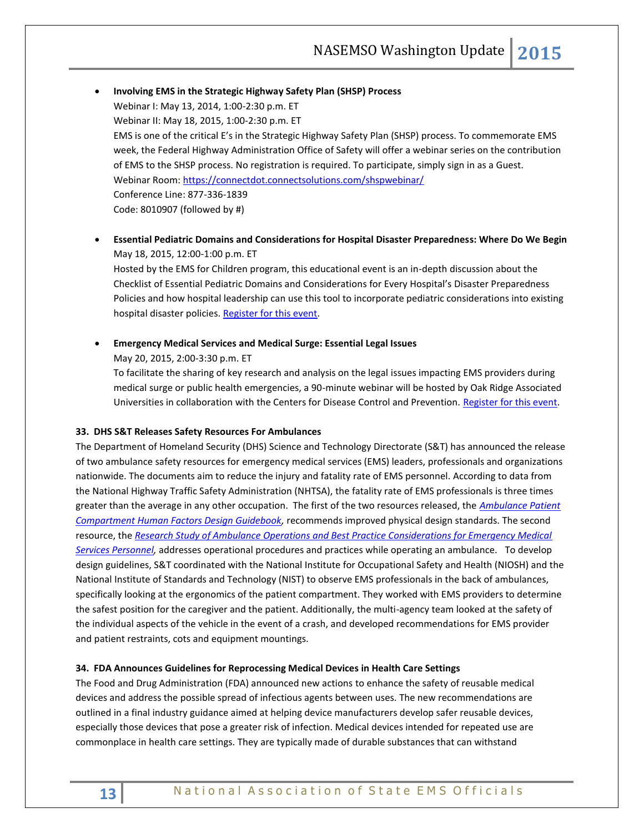- **Involving EMS in the Strategic Highway Safety Plan (SHSP) Process** Webinar I: May 13, 2014, 1:00-2:30 p.m. ET Webinar II: May 18, 2015, 1:00-2:30 p.m. ET EMS is one of the critical E's in the Strategic Highway Safety Plan (SHSP) process. To commemorate EMS week, the Federal Highway Administration Office of Safety will offer a webinar series on the contribution of EMS to the SHSP process. No registration is required. To participate, simply sign in as a Guest. Webinar Room: https://connectdot.connectsolutions.com/shspwebinar/ Conference Line: 877-336-1839 Code: 8010907 (followed by #)
- **Essential Pediatric Domains and Considerations for Hospital Disaster Preparedness: Where Do We Begin** May 18, 2015, 12:00-1:00 p.m. ET Hosted by the EMS for Children program, this educational event is an in-depth discussion about the Checklist of Essential Pediatric Domains and Considerations for Every Hospital's Disaster Preparedness Policies and how hospital leadership can use this tool to incorporate pediatric considerations into existing

hospital disaster policies. [Register for this event.](https://hrsacqpub.connectsolutions.com/content/connect/c1/7/en/events/event/shared/default_template_simple/event_registration.html?sco-id=64435960&_charset_=utf-8)

**Emergency Medical Services and Medical Surge: Essential Legal Issues**

May 20, 2015, 2:00-3:30 p.m. ET

To facilitate the sharing of key research and analysis on the legal issues impacting EMS providers during medical surge or public health emergencies, a 90-minute webinar will be hosted by Oak Ridge Associated Universities in collaboration with the Centers for Disease Control and Prevention. [Register for this event.](https://attendee.gotowebinar.com/register/4524116880042034434)

# **33. DHS S&T Releases Safety Resources For Ambulances**

The Department of Homeland Security (DHS) Science and Technology Directorate (S&T) has announced the release of two ambulance safety resources for emergency medical services (EMS) leaders, professionals and organizations nationwide. The documents aim to reduce the injury and fatality rate of EMS personnel. According to data from the National Highway Traffic Safety Administration (NHTSA), the fatality rate of EMS professionals is three times greater than the average in any other occupation. The first of the two resources released, the *[Ambulance Patient](http://www.firstresponder.gov/TechnologyDocuments/Ambulance%20Patient%20Compartment%20Human%20Factors%20Design%20Guidebook.pdf)  [Compartment Human Factors Design Guidebook,](http://www.firstresponder.gov/TechnologyDocuments/Ambulance%20Patient%20Compartment%20Human%20Factors%20Design%20Guidebook.pdf)* recommends improved physical design standards. The second resource, the *[Research Study of Ambulance Operations and Best Practice Considerations for Emergency Medical](http://www.firstresponder.gov/TechnologyDocuments/Ambulance%20Driver%20%28Operator%29%20Best%20Practices%20Report.pdf)  [Services Personnel,](http://www.firstresponder.gov/TechnologyDocuments/Ambulance%20Driver%20%28Operator%29%20Best%20Practices%20Report.pdf)* addresses operational procedures and practices while operating an ambulance. To develop design guidelines, S&T coordinated with the National Institute for Occupational Safety and Health (NIOSH) and the National Institute of Standards and Technology (NIST) to observe EMS professionals in the back of ambulances, specifically looking at the ergonomics of the patient compartment. They worked with EMS providers to determine the safest position for the caregiver and the patient. Additionally, the multi-agency team looked at the safety of the individual aspects of the vehicle in the event of a crash, and developed recommendations for EMS provider and patient restraints, cots and equipment mountings.

# **34. FDA Announces Guidelines for Reprocessing Medical Devices in Health Care Settings**

The Food and Drug Administration (FDA) announced new actions to enhance the safety of reusable medical devices and address the possible spread of infectious agents between uses. The new recommendations are outlined in a final industry guidance aimed at helping device manufacturers develop safer reusable devices, especially those devices that pose a greater risk of infection. Medical devices intended for repeated use are commonplace in health care settings. They are typically made of durable substances that can withstand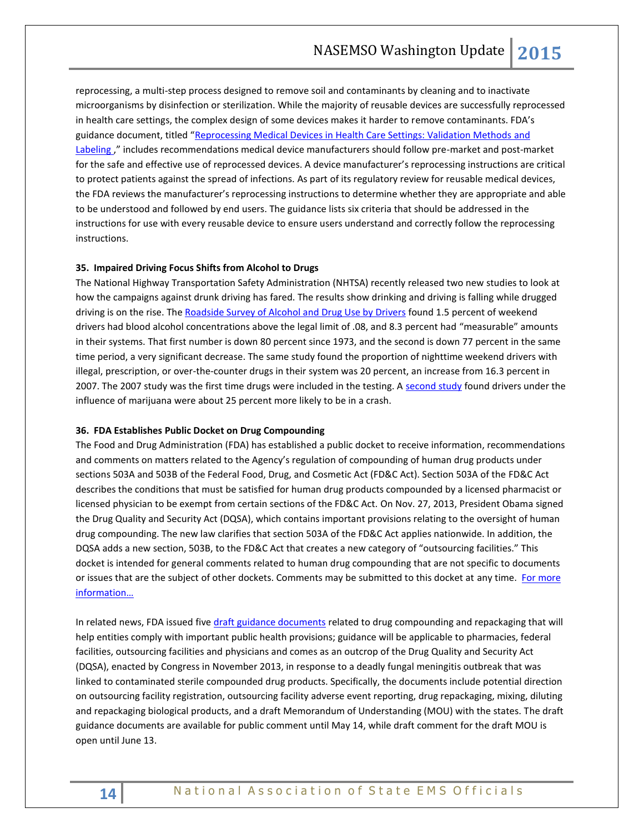reprocessing, a multi-step process designed to remove soil and contaminants by cleaning and to inactivate microorganisms by disinfection or sterilization. While the majority of reusable devices are successfully reprocessed in health care settings, the complex design of some devices makes it harder to remove contaminants. FDA's guidance document, titled "[Reprocessing Medical Devices in Health Care Settings: Validation Methods](http://www.fda.gov/downloads/MedicalDevices/DeviceRegulationandGuidance/GuidanceDocuments/UCM253010.pdf) and [Labeling](http://www.fda.gov/downloads/MedicalDevices/DeviceRegulationandGuidance/GuidanceDocuments/UCM253010.pdf) " includes recommendations medical device manufacturers should follow pre-market and post-market for the safe and effective use of reprocessed devices. A device manufacturer's reprocessing instructions are critical to protect patients against the spread of infections. As part of its regulatory review for reusable medical devices, the FDA reviews the manufacturer's reprocessing instructions to determine whether they are appropriate and able to be understood and followed by end users. The guidance lists six criteria that should be addressed in the instructions for use with every reusable device to ensure users understand and correctly follow the reprocessing instructions.

#### **35. Impaired Driving Focus Shifts from Alcohol to Drugs**

The National Highway Transportation Safety Administration (NHTSA) recently released two new studies to look at how the campaigns against drunk driving has fared. The results show drinking and driving is falling while drugged driving is on the rise. The [Roadside Survey of Alcohol and Drug Use by Drivers](http://www.nhtsa.gov/staticfiles/communications/pdf/RoadsideSurvey-FactSheet_020615.pdf) found 1.5 percent of weekend drivers had blood alcohol concentrations above the legal limit of .08, and 8.3 percent had "measurable" amounts in their systems. That first number is down 80 percent since 1973, and the second is down 77 percent in the same time period, a very significant decrease. The same study found the proportion of nighttime weekend drivers with illegal, prescription, or over-the-counter drugs in their system was 20 percent, an increase from 16.3 percent in 2007. The 2007 study was the first time drugs were included in the testing. A [second study](http://www.nhtsa.gov/staticfiles/communications/pdf/CrashRiskStudy-FactSheet_020615.pdf) found drivers under the influence of marijuana were about 25 percent more likely to be in a crash.

#### **36. FDA Establishes Public Docket on Drug Compounding**

The Food and Drug Administration (FDA) has established a public docket to receive information, recommendations and comments on matters related to the Agency's regulation of compounding of human drug products under sections 503A and 503B of the Federal Food, Drug, and Cosmetic Act (FD&C Act). Section 503A of the FD&C Act describes the conditions that must be satisfied for human drug products compounded by a licensed pharmacist or licensed physician to be exempt from certain sections of the FD&C Act. On Nov. 27, 2013, President Obama signed the Drug Quality and Security Act (DQSA), which contains important provisions relating to the oversight of human drug compounding. The new law clarifies that section 503A of the FD&C Act applies nationwide. In addition, the DQSA adds a new section, 503B, to the FD&C Act that creates a new category of "outsourcing facilities." This docket is intended for general comments related to human drug compounding that are not specific to documents or issues that are the subject of other dockets. Comments may be submitted to this docket at any time. For more [information…](http://www.fda.gov/Drugs/GuidanceComplianceRegulatoryInformation/PharmacyCompounding/ucm435070.htm)

In related news, FDA issued five [draft guidance documents](http://www.fda.gov/NewsEvents/Newsroom/PressAnnouncements/ucm434270.htm) related to drug compounding and repackaging that will help entities comply with important public health provisions; guidance will be applicable to pharmacies, federal facilities, outsourcing facilities and physicians and comes as an outcrop of the Drug Quality and Security Act (DQSA), enacted by Congress in November 2013, in response to a deadly fungal meningitis outbreak that was linked to contaminated sterile compounded drug products. Specifically, the documents include potential direction on outsourcing facility registration, outsourcing facility adverse event reporting, drug repackaging, mixing, diluting and repackaging biological products, and a draft Memorandum of Understanding (MOU) with the states. The draft guidance documents are available for public comment until May 14, while draft comment for the draft MOU is open until June 13.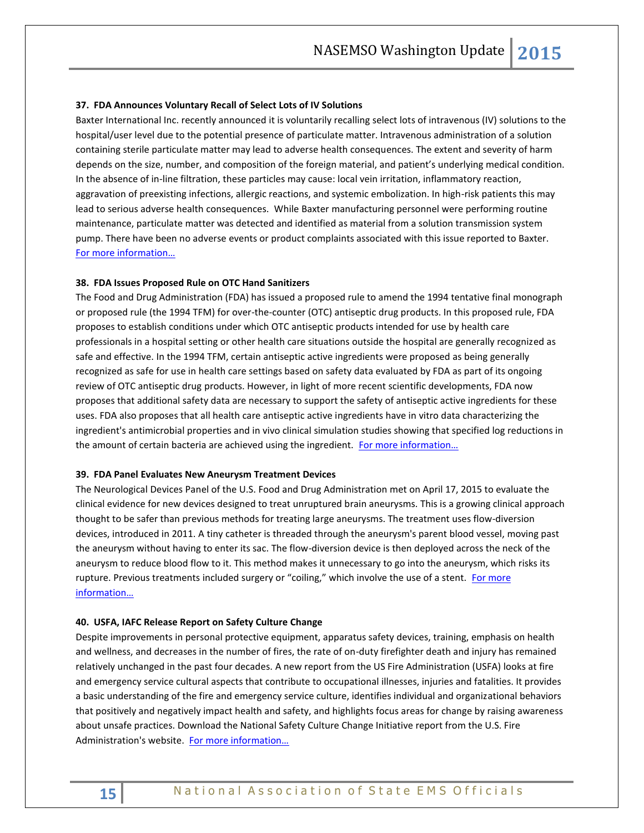#### **37. FDA Announces Voluntary Recall of Select Lots of IV Solutions**

Baxter International Inc. recently announced it is voluntarily recalling select lots of intravenous (IV) solutions to the hospital/user level due to the potential presence of particulate matter. Intravenous administration of a solution containing sterile particulate matter may lead to adverse health consequences. The extent and severity of harm depends on the size, number, and composition of the foreign material, and patient's underlying medical condition. In the absence of in-line filtration, these particles may cause: local vein irritation, inflammatory reaction, aggravation of preexisting infections, allergic reactions, and systemic embolization. In high-risk patients this may lead to serious adverse health consequences. While Baxter manufacturing personnel were performing routine maintenance, particulate matter was detected and identified as material from a solution transmission system pump. There have been no adverse events or product complaints associated with this issue reported to Baxter. [For more information…](http://www.fda.gov/Safety/Recalls/ucm442074.htm)

#### **38. FDA Issues Proposed Rule on OTC Hand Sanitizers**

The Food and Drug Administration (FDA) has issued a proposed rule to amend the 1994 tentative final monograph or proposed rule (the 1994 TFM) for over-the-counter (OTC) antiseptic drug products. In this proposed rule, FDA proposes to establish conditions under which OTC antiseptic products intended for use by health care professionals in a hospital setting or other health care situations outside the hospital are generally recognized as safe and effective. In the 1994 TFM, certain antiseptic active ingredients were proposed as being generally recognized as safe for use in health care settings based on safety data evaluated by FDA as part of its ongoing review of OTC antiseptic drug products. However, in light of more recent scientific developments, FDA now proposes that additional safety data are necessary to support the safety of antiseptic active ingredients for these uses. FDA also proposes that all health care antiseptic active ingredients have in vitro data characterizing the ingredient's antimicrobial properties and in vivo clinical simulation studies showing that specified log reductions in the amount of certain bacteria are achieved using the ingredient. For more information...

#### **39. FDA Panel Evaluates New Aneurysm Treatment Devices**

The Neurological Devices Panel of the U.S. Food and Drug Administration met on April 17, 2015 to evaluate the clinical evidence for new devices designed to treat unruptured brain aneurysms. This is a growing clinical approach thought to be safer than previous methods for treating large aneurysms. The treatment uses flow-diversion devices, introduced in 2011. A tiny catheter is threaded through the aneurysm's parent blood vessel, moving past the aneurysm without having to enter its sac. The flow-diversion device is then deployed across the neck of the aneurysm to reduce blood flow to it. This method makes it unnecessary to go into the aneurysm, which risks its rupture. Previous treatments included surgery or "coiling," which involve the use of a stent. For more [information…](http://www.fda.gov/AdvisoryCommittees/CommitteesMeetingMaterials/MedicalDevices/MedicalDevicesAdvisoryCommittee/NeurologicalDevicesPanel/ucm440392.htm)

## **40. USFA, IAFC Release Report on Safety Culture Change**

Despite improvements in personal protective equipment, apparatus safety devices, training, emphasis on health and wellness, and decreases in the number of fires, the rate of on-duty firefighter death and injury has remained relatively unchanged in the past four decades. A new report from the US Fire Administration (USFA) looks at fire and emergency service cultural aspects that contribute to occupational illnesses, injuries and fatalities. It provides a basic understanding of the fire and emergency service culture, identifies individual and organizational behaviors that positively and negatively impact health and safety, and highlights focus areas for change by raising awareness about unsafe practices. Download the National Safety Culture Change Initiative report from the U.S. Fire Administration's website. For more information...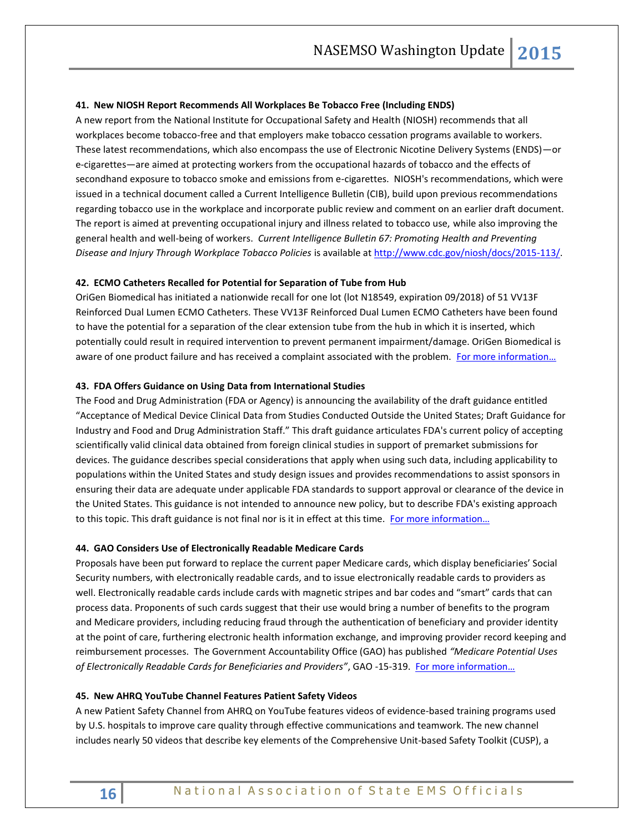#### **41. New NIOSH Report Recommends All Workplaces Be Tobacco Free (Including ENDS)**

A new report from the National Institute for Occupational Safety and Health (NIOSH) recommends that all workplaces become tobacco-free and that employers make tobacco cessation programs available to workers. These latest recommendations, which also encompass the use of Electronic Nicotine Delivery Systems (ENDS)—or e-cigarettes—are aimed at protecting workers from the occupational hazards of tobacco and the effects of secondhand exposure to tobacco smoke and emissions from e-cigarettes. NIOSH's recommendations, which were issued in a technical document called a Current Intelligence Bulletin (CIB), build upon previous recommendations regarding tobacco use in the workplace and incorporate public review and comment on an earlier draft document. The report is aimed at preventing occupational injury and illness related to tobacco use, while also improving the general health and well-being of workers. *Current Intelligence Bulletin 67: Promoting Health and Preventing Disease and Injury Through Workplace Tobacco Policies* is available a[t http://www.cdc.gov/niosh/docs/2015-113/.](http://www.cdc.gov/niosh/docs/2015-113/)

#### **42. ECMO Catheters Recalled for Potential for Separation of Tube from Hub**

OriGen Biomedical has initiated a nationwide recall for one lot (lot N18549, expiration 09/2018) of 51 VV13F Reinforced Dual Lumen ECMO Catheters. These VV13F Reinforced Dual Lumen ECMO Catheters have been found to have the potential for a separation of the clear extension tube from the hub in which it is inserted, which potentially could result in required intervention to prevent permanent impairment/damage. OriGen Biomedical is aware of one product failure and has received a complaint associated with the problem. For more information...

#### **43. FDA Offers Guidance on Using Data from International Studies**

The Food and Drug Administration (FDA or Agency) is announcing the availability of the draft guidance entitled "Acceptance of Medical Device Clinical Data from Studies Conducted Outside the United States; Draft Guidance for Industry and Food and Drug Administration Staff." This draft guidance articulates FDA's current policy of accepting scientifically valid clinical data obtained from foreign clinical studies in support of premarket submissions for devices. The guidance describes special considerations that apply when using such data, including applicability to populations within the United States and study design issues and provides recommendations to assist sponsors in ensuring their data are adequate under applicable FDA standards to support approval or clearance of the device in the United States. This guidance is not intended to announce new policy, but to describe FDA's existing approach to this topic. This draft guidance is not final nor is it in effect at this time. For more information...

#### **44. GAO Considers Use of Electronically Readable Medicare Cards**

Proposals have been put forward to replace the current paper Medicare cards, which display beneficiaries' Social Security numbers, with electronically readable cards, and to issue electronically readable cards to providers as well. Electronically readable cards include cards with magnetic stripes and bar codes and "smart" cards that can process data. Proponents of such cards suggest that their use would bring a number of benefits to the program and Medicare providers, including reducing fraud through the authentication of beneficiary and provider identity at the point of care, furthering electronic health information exchange, and improving provider record keeping and reimbursement processes. The Government Accountability Office (GAO) has published *"Medicare Potential Uses of Electronically Readable Cards for Beneficiaries and Providers"*, GAO -15-319. [For more information…](http://www.gao.gov/assets/670/669228.pdf)

#### **45. New AHRQ YouTube Channel Features Patient Safety Videos**

A new Patient Safety Channel from AHRQ on YouTube features videos of evidence-based training programs used by U.S. hospitals to improve care quality through effective communications and teamwork. The new channel includes nearly 50 videos that describe key elements of the Comprehensive Unit-based Safety Toolkit (CUSP), a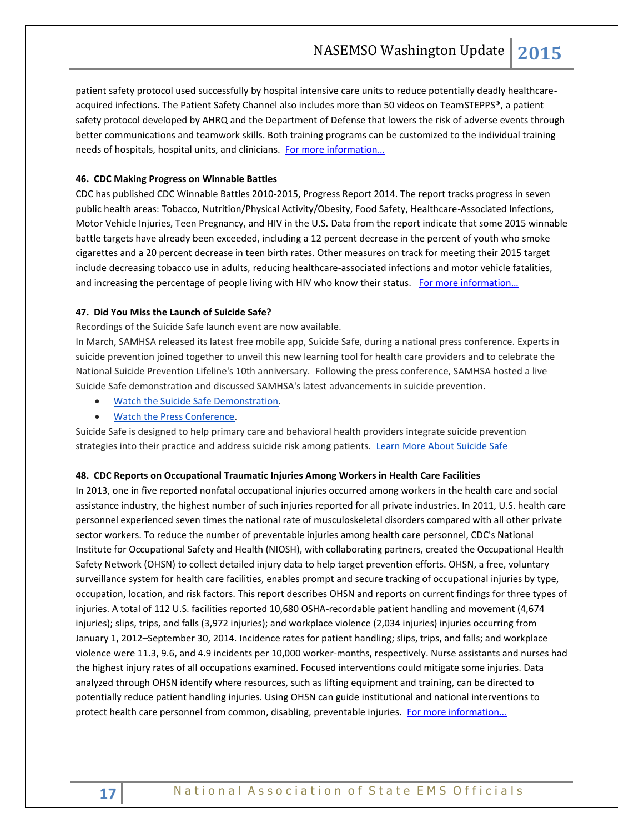patient safety protocol used successfully by hospital intensive care units to reduce potentially deadly healthcareacquired infections. The Patient Safety Channel also includes more than 50 videos on TeamSTEPPS®, a patient safety protocol developed by AHRQ and the Department of Defense that lowers the risk of adverse events through better communications and teamwork skills. Both training programs can be customized to the individual training needs of hospitals, hospital units, and clinicians. For more information...

# **46. CDC Making Progress on Winnable Battles**

CDC has published CDC Winnable Battles 2010-2015, Progress Report 2014. The report tracks progress in seven public health areas: Tobacco, Nutrition/Physical Activity/Obesity, Food Safety, Healthcare-Associated Infections, Motor Vehicle Injuries, Teen Pregnancy, and HIV in the U.S. Data from the report indicate that some 2015 winnable battle targets have already been exceeded, including a 12 percent decrease in the percent of youth who smoke cigarettes and a 20 percent decrease in teen birth rates. Other measures on track for meeting their 2015 target include decreasing tobacco use in adults, reducing healthcare-associated infections and motor vehicle fatalities, and increasing the percentage of people living with HIV who know their status. For more information...

# **47. Did You Miss the Launch of Suicide Safe?**

Recordings of the Suicide Safe launch event are now available.

In March, SAMHSA released its latest free mobile app, Suicide Safe, during a national press conference. Experts in suicide prevention joined together to unveil this new learning tool for health care providers and to celebrate the National Suicide Prevention Lifeline's 10th anniversary. Following the press conference, SAMHSA hosted a live Suicide Safe demonstration and discussed SAMHSA's latest advancements in suicide prevention.

- [Watch the Suicide Safe Demonstration.](http://links.govdelivery.com/track?type=click&enid=ZWFzPTEmbWFpbGluZ2lkPTIwMTUwNDIzLjQ0Mzk2MDkxJm1lc3NhZ2VpZD1NREItUFJELUJVTC0yMDE1MDQyMy40NDM5NjA5MSZkYXRhYmFzZWlkPTEwMDEmc2VyaWFsPTE3MTE2MjcxJmVtYWlsaWQ9cm9iaW5zb25AbmFzZW1zby5vcmcmdXNlcmlkPXJvYmluc29uQG5hc2Vtc28ub3JnJmZsPSZleHRyYT1NdWx0aXZhcmlhdGVJZD0mJiY=&&&103&&&https://www.youtube.com/watch?v=6tFENHNpRas&feature=youtu.be)
- [Watch the Press Conference.](http://links.govdelivery.com/track?type=click&enid=ZWFzPTEmbWFpbGluZ2lkPTIwMTUwNDIzLjQ0Mzk2MDkxJm1lc3NhZ2VpZD1NREItUFJELUJVTC0yMDE1MDQyMy40NDM5NjA5MSZkYXRhYmFzZWlkPTEwMDEmc2VyaWFsPTE3MTE2MjcxJmVtYWlsaWQ9cm9iaW5zb25AbmFzZW1zby5vcmcmdXNlcmlkPXJvYmluc29uQG5hc2Vtc28ub3JnJmZsPSZleHRyYT1NdWx0aXZhcmlhdGVJZD0mJiY=&&&104&&&https://www.youtube.com/watch?v=FLNbgOqVB70&feature=youtu.be)

Suicide Safe is designed to help primary care and behavioral health providers integrate suicide prevention strategies into their practice and address suicide risk among patients. [Learn More About Suicide Safe](http://links.govdelivery.com/track?type=click&enid=ZWFzPTEmbWFpbGluZ2lkPTIwMTUwNDIzLjQ0Mzk2MDkxJm1lc3NhZ2VpZD1NREItUFJELUJVTC0yMDE1MDQyMy40NDM5NjA5MSZkYXRhYmFzZWlkPTEwMDEmc2VyaWFsPTE3MTE2MjcxJmVtYWlsaWQ9cm9iaW5zb25AbmFzZW1zby5vcmcmdXNlcmlkPXJvYmluc29uQG5hc2Vtc28ub3JnJmZsPSZleHRyYT1NdWx0aXZhcmlhdGVJZD0mJiY=&&&105&&&http://store.samhsa.gov/apps/suicidesafe/?WT.mc_id=EB_20150422_SuicideSafe)

#### **48. CDC Reports on Occupational Traumatic Injuries Among Workers in Health Care Facilities**

In 2013, one in five reported nonfatal occupational injuries occurred among workers in the health care and social assistance industry, the highest number of such injuries reported for all private industries. In 2011, U.S. health care personnel experienced seven times the national rate of musculoskeletal disorders compared with all other private sector workers. To reduce the number of preventable injuries among health care personnel, CDC's National Institute for Occupational Safety and Health (NIOSH), with collaborating partners, created the Occupational Health Safety Network (OHSN) to collect detailed injury data to help target prevention efforts. OHSN, a free, voluntary surveillance system for health care facilities, enables prompt and secure tracking of occupational injuries by type, occupation, location, and risk factors. This report describes OHSN and reports on current findings for three types of injuries. A total of 112 U.S. facilities reported 10,680 OSHA-recordable patient handling and movement (4,674 injuries); slips, trips, and falls (3,972 injuries); and workplace violence (2,034 injuries) injuries occurring from January 1, 2012–September 30, 2014. Incidence rates for patient handling; slips, trips, and falls; and workplace violence were 11.3, 9.6, and 4.9 incidents per 10,000 worker-months, respectively. Nurse assistants and nurses had the highest injury rates of all occupations examined. Focused interventions could mitigate some injuries. Data analyzed through OHSN identify where resources, such as lifting equipment and training, can be directed to potentially reduce patient handling injuries. Using OHSN can guide institutional and national interventions to protect health care personnel from common, disabling, preventable injuries. For more information...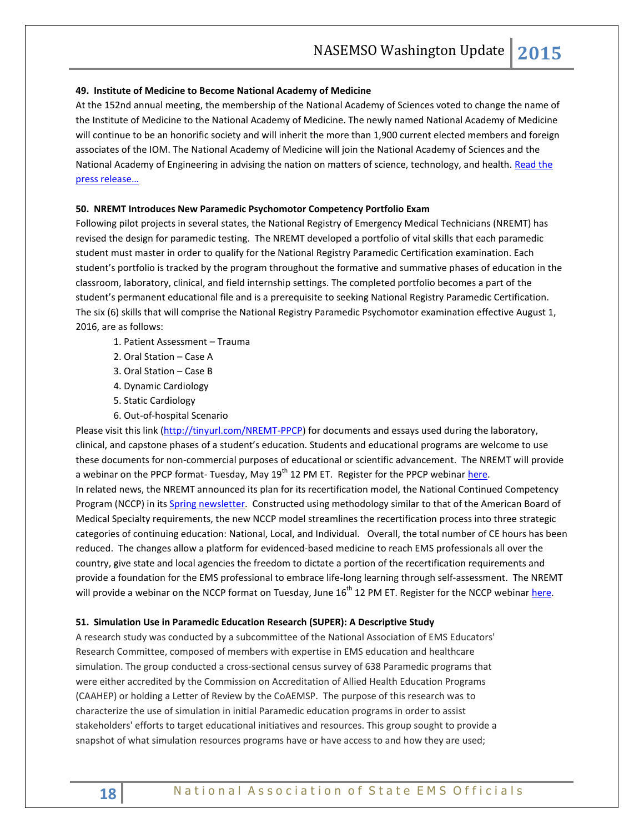#### **49. Institute of Medicine to Become National Academy of Medicine**

At the 152nd annual meeting, the membership of the National Academy of Sciences voted to change the name of the Institute of Medicine to the National Academy of Medicine. The newly named National Academy of Medicine will continue to be an honorific society and will inherit the more than 1,900 current elected members and foreign associates of the IOM. The National Academy of Medicine will join the National Academy of Sciences and the National Academy of Engineering in advising the nation on matters of science, technology, and health. Read the [press release…](http://www.iom.edu/Global/News%20Announcements/IOM-to-become-NAM-Press-Release.aspx)

#### **50. NREMT Introduces New Paramedic Psychomotor Competency Portfolio Exam**

Following pilot projects in several states, the National Registry of Emergency Medical Technicians (NREMT) has revised the design for paramedic testing. The NREMT developed a portfolio of vital skills that each paramedic student must master in order to qualify for the National Registry Paramedic Certification examination. Each student's portfolio is tracked by the program throughout the formative and summative phases of education in the classroom, laboratory, clinical, and field internship settings. The completed portfolio becomes a part of the student's permanent educational file and is a prerequisite to seeking National Registry Paramedic Certification. The six (6) skills that will comprise the National Registry Paramedic Psychomotor examination effective August 1, 2016, are as follows:

- 1. Patient Assessment Trauma
- 2. Oral Station Case A
- 3. Oral Station Case B
- 4. Dynamic Cardiology
- 5. Static Cardiology
- 6. Out-of-hospital Scenario

Please visit this link [\(http://tinyurl.com/NREMT-PPCP\)](http://tinyurl.com/NREMT-PPCP) for documents and essays used during the laboratory, clinical, and capstone phases of a student's education. Students and educational programs are welcome to use these documents for non-commercial purposes of educational or scientific advancement. The NREMT will provide a webinar on the PPCP format- Tuesday, May 19<sup>th</sup> 12 PM ET. Register for the PPCP webinar [here.](https://attendee.gotowebinar.com/register/1073739440741154306) In related news, the NREMT announced its plan for its recertification model, the National Continued Competency Program (NCCP) in it[s Spring newsletter.](http://www.nremt.org/nremt/downloads/2015%20Spring%20Newsletter%20Word.pdf) Constructed using methodology similar to that of the American Board of Medical Specialty requirements, the new NCCP model streamlines the recertification process into three strategic categories of continuing education: National, Local, and Individual. Overall, the total number of CE hours has been reduced. The changes allow a platform for evidenced-based medicine to reach EMS professionals all over the country, give state and local agencies the freedom to dictate a portion of the recertification requirements and provide a foundation for the EMS professional to embrace life-long learning through self-assessment. The NREMT will provide a webinar on the NCCP format on Tuesday, June 16<sup>th</sup> 12 PM ET. Register for the NCCP webinar here.

#### **51. Simulation Use in Paramedic Education Research (SUPER): A Descriptive Study**

A research study was conducted by a subcommittee of the National Association of EMS Educators' Research Committee, composed of members with expertise in EMS education and healthcare simulation. The group conducted a cross-sectional census survey of 638 Paramedic programs that were either accredited by the Commission on Accreditation of Allied Health Education Programs (CAAHEP) or holding a Letter of Review by the CoAEMSP. The purpose of this research was to characterize the use of simulation in initial Paramedic education programs in order to assist stakeholders' efforts to target educational initiatives and resources. This group sought to provide a snapshot of what simulation resources programs have or have access to and how they are used;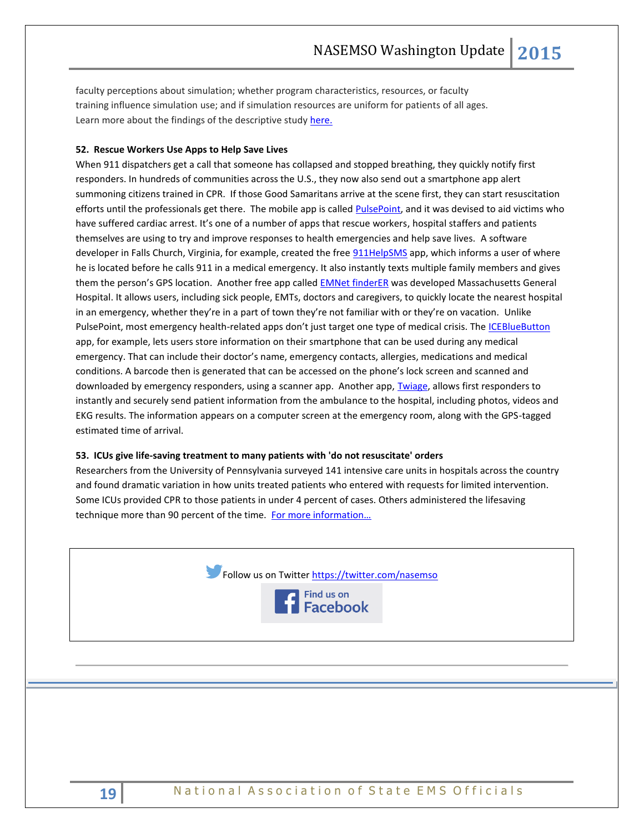faculty perceptions about simulation; whether program characteristics, resources, or faculty training influence simulation use; and if simulation resources are uniform for patients of all ages. Learn more about the findings of the descriptive study [here.](http://files.ctctcdn.com/e56edc5d001/7caf2693-cfa1-432d-b144-b6a3eec3fe82.pdf)

## **52. Rescue Workers Use Apps to Help Save Lives**

When 911 dispatchers get a call that someone has collapsed and stopped breathing, they quickly notify first responders. In hundreds of communities across the U.S., they now also send out a smartphone app alert summoning citizens trained in CPR. If those Good Samaritans arrive at the scene first, they can start resuscitation efforts until the professionals get there. The mobile app is called [PulsePoint,](http://www.pulsepoint.org/download/) and it was devised to aid victims who have suffered cardiac arrest. It's one of a number of apps that rescue workers, hospital staffers and patients themselves are using to try and improve responses to health emergencies and help save lives. A software developer in Falls Church, Virginia, for example, created the fre[e 911HelpSMS](https://www.911helpsms.com/) app, which informs a user of where he is located before he calls 911 in a medical emergency. It also instantly texts multiple family members and gives them the person's GPS location. Another free app calle[d EMNet finderER](http://www.emnet-usa.org/Community/finder.htm) was developed Massachusetts General Hospital. It allows users, including sick people, EMTs, doctors and caregivers, to quickly locate the nearest hospital in an emergency, whether they're in a part of town they're not familiar with or they're on vacation. Unlike PulsePoint, most emergency health-related apps don't just target one type of medical crisis. The [ICEBlueButton](http://www.icebluebutton.com/) app, for example, lets users store information on their smartphone that can be used during any medical emergency. That can include their doctor's name, emergency contacts, allergies, medications and medical conditions. A barcode then is generated that can be accessed on the phone's lock screen and scanned and downloaded by emergency responders, using a scanner app. Another app, [Twiage,](http://www.twiagemed.com/) allows first responders to instantly and securely send patient information from the ambulance to the hospital, including photos, videos and EKG results. The information appears on a computer screen at the emergency room, along with the GPS-tagged estimated time of arrival.

#### **53. ICUs give life-saving treatment to many patients with 'do not resuscitate' orders**

Researchers from the University of Pennsylvania surveyed 141 intensive care units in hospitals across the country and found dramatic variation in how units treated patients who entered with requests for limited intervention. Some ICUs provided CPR to those patients in under 4 percent of cases. Others administered the lifesaving technique more than 90 percent of the time. For more information...

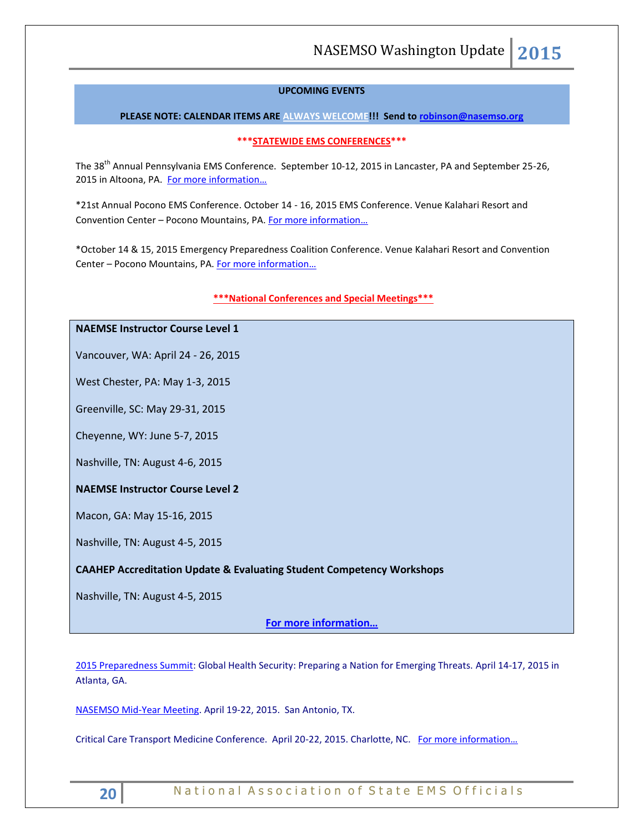#### **UPCOMING EVENTS**

#### **PLEASE NOTE: CALENDAR ITEMS ARE ALWAYS WELCOME!!! Send t[o robinson@nasemso.org](mailto:robinson@nasemso.org)**

#### **\*\*\*STATEWIDE EMS CONFERENCES\*\*\***

The 38<sup>th</sup> Annual Pennsylvania EMS Conference. September 10-12, 2015 in Lancaster, PA and September 25-26, 2015 in Altoona, PA. For more information...

\*21st Annual Pocono EMS Conference. October 14 - 16, 2015 EMS Conference. Venue Kalahari Resort and Convention Center – Pocono Mountains, PA. [For more information…](http://www.poconoemsconference.com/)

\*October 14 & 15, 2015 Emergency Preparedness Coalition Conference. Venue Kalahari Resort and Convention Center – Pocono Mountains, PA. [For more information…](http://www.poconoemsconference.com/)

#### **\*\*\*National Conferences and Special Meetings\*\*\***

# **NAEMSE Instructor Course Level 1**

Vancouver, WA: April 24 - 26, 2015

West Chester, PA: May 1-3, 2015

Greenville, SC: May 29-31, 2015

Cheyenne, WY: June 5-7, 2015

Nashville, TN: August 4-6, 2015

# **NAEMSE Instructor Course Level 2**

Macon, GA: May 15-16, 2015

Nashville, TN: August 4-5, 2015

## **CAAHEP Accreditation Update & Evaluating Student Competency Workshops**

Nashville, TN: August 4-5, 2015

**[For more information…](http://www.naemse.org/instructor-course/)**

[2015 Preparedness Summit:](http://r20.rs6.net/tn.jsp?f=001wzKW8mjjcnbesjq6-qmpJD19e-gq3Y5FOwmLWLTgNIHh6hCIiHqstFFMbeOwVwTNMuZX6CwfLJh1ec6r8FGt5MkZtgydlbkKvPVeaYNjBpYWW2JzpyHfusQltfbi8UCgcLGFDwwq0YW95dfGYVfynmKNiyRfz-lS_xckL2nnntfDjkKRdOYxfA==&c=K-4O5t1NK0pvyYYLP6KIFRGJQfUv3C2HcUe9uWpDHDHXSHf7SX---w==&ch=Yx938ZHswsHC8i2jMpUmQmj_h7fbCpC2dtXJjMCXJYGpD2EZ9Y-O6g==) Global Health Security: Preparing a Nation for Emerging Threats. April 14-17, 2015 in Atlanta, GA.

[NASEMSO Mid-Year Meeting.](http://www.nasemso.org/Meetings/MidYear/index.asp) April 19-22, 2015. San Antonio, TX.

Critical Care Transport Medicine Conference. April 20-22, 2015. Charlotte, NC. [For more information…](https://ampa.org/cctmc_2015)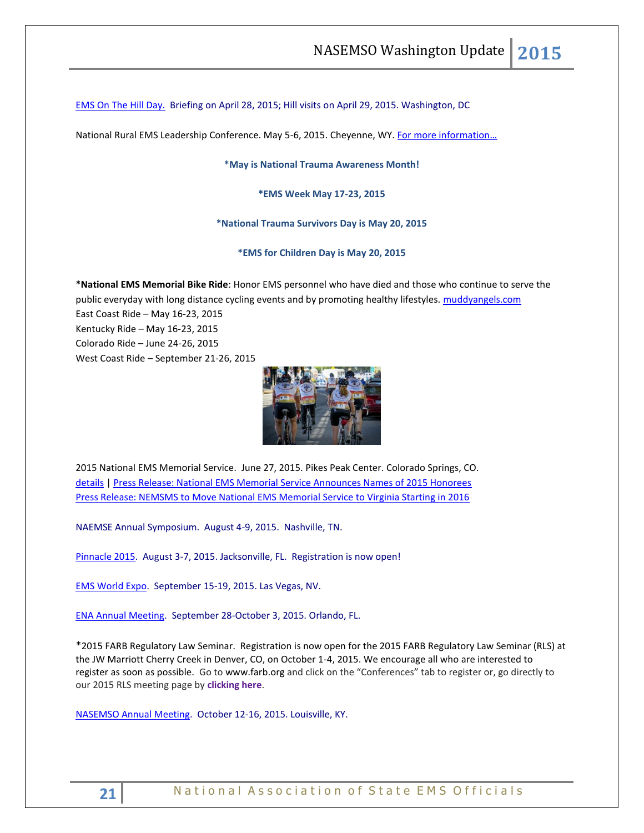[EMS On The Hill Day.](http://www.naemt.org/advocacy/emsonthehillday.aspx) Briefing on April 28, 2015; Hill visits on April 29, 2015. Washington, DC

National Rural EMS Leadership Conference. May 5-6, 2015. Cheyenne, WY. For more information...

**\*May is National Trauma Awareness Month!**

**\*EMS Week May 17-23, 2015**

**\*National Trauma Survivors Day is May 20, 2015**

**\*EMS for Children Day is May 20, 2015**

**\*National EMS Memorial Bike Ride**: Honor EMS personnel who have died and those who continue to serve the public everyday with long distance cycling events and by promoting healthy lifestyles. [muddyangels.com](http://www.muddyangels.com/)

East Coast Ride – May 16-23, 2015 Kentucky Ride – May 16-23, 2015 Colorado Ride – June 24-26, 2015 West Coast Ride – September 21-26, 2015



2015 National EMS Memorial Service. June 27, 2015. Pikes Peak Center. Colorado Springs, CO. [details](http://www.nemsms.org/) | [Press Release: National EMS Memorial Service Announces Names of 2015 Honorees](http://www.nasemso.org/Resources/Calendar/documents/NEMSMS-Announces-2015-Honorees.pdf) [Press Release: NEMSMS to Move National EMS Memorial Service to Virginia Starting in 2016](http://www.nasemso.org/Resources/Calendar/documents/NEMSMS-Press-Release-Transition-Announcement.pdf)

NAEMSE Annual Symposium. August 4-9, 2015. Nashville, TN.

[Pinnacle 2015.](http://pinnacle-ems.com/program/) August 3-7, 2015. Jacksonville, FL. Registration is now open!

[EMS World Expo.](http://emsworldexpo.com/) September 15-19, 2015. Las Vegas, NV.

[ENA Annual Meeting.](http://www.ena.org/education/conferences/2015/Pages/default.aspx) September 28-October 3, 2015. Orlando, FL.

\*2015 FARB Regulatory Law Seminar. Registration is now open for the 2015 FARB Regulatory Law Seminar (RLS) at the JW Marriott Cherry Creek in Denver, CO, on October 1-4, 2015. We encourage all who are interested to register as soon as possible. Go t[o www.farb.org](http://www.farb.org/) and click on the "Conferences" tab to register or, go directly to our 2015 RLS meeting page by **[clicking here](https://www.imis100us2.com/farb/SharedContent/Events/Event_Display.aspx?EventKey=663364e0-9c47-46dc-870f-52aa1ff1d45d&WebsiteKey=6d5eb519-6383-47f7-b4d0-addc7060cddf)**.

[NASEMSO Annual Meeting.](http://www.nasemso.org/Meetings/Annual/AnnualMeeting2015.asp) October 12-16, 2015. Louisville, KY.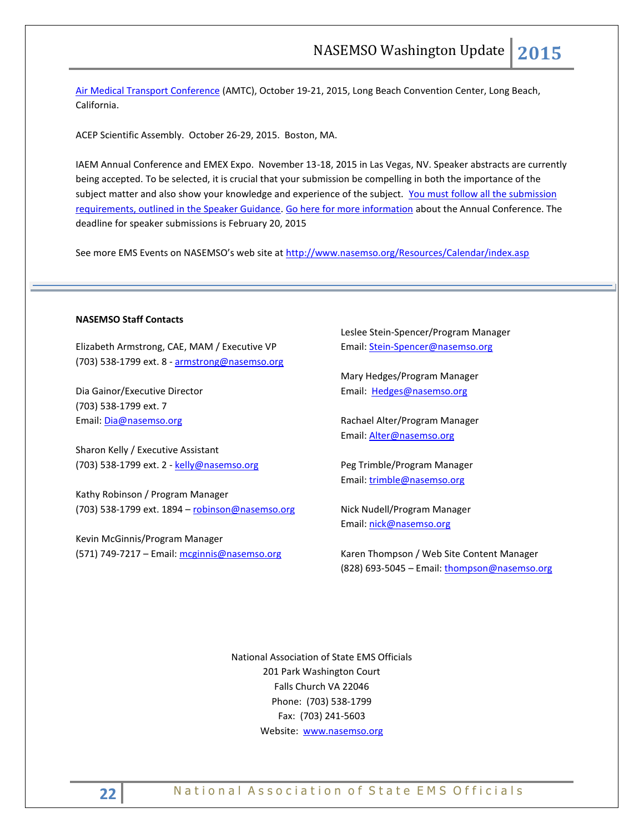[Air Medical Transport Conference](http://aams.org/events/2015-air-medical-transport-conference/) (AMTC), October 19-21, 2015, Long Beach Convention Center, Long Beach, California.

ACEP Scientific Assembly. October 26-29, 2015. Boston, MA.

IAEM Annual Conference and EMEX Expo. November 13-18, 2015 in Las Vegas, NV. Speaker abstracts are currently being accepted. To be selected, it is crucial that your submission be compelling in both the importance of the subject matter and also show your knowledge and experience of the subject. [You must follow all the submission](http://cts.vresp.com/c/?IAEM/46d16c294a/3733acafb6/1496faeb53) [requirements, outlined in the Speaker Guidance.](http://cts.vresp.com/c/?IAEM/46d16c294a/3733acafb6/1496faeb53) [Go here for more information](http://cts.vresp.com/c/?IAEM/46d16c294a/3733acafb6/9897cf8fb8/p=events/annual-conference) about the Annual Conference. The deadline for speaker submissions is February 20, 2015

See more EMS Events on NASEMSO's web site at <http://www.nasemso.org/Resources/Calendar/index.asp>

#### **NASEMSO Staff Contacts**

Elizabeth Armstrong, CAE, MAM / Executive VP (703) 538-1799 ext. 8 - [armstrong@nasemso.org](mailto:armstrong@nasemso.org)

Dia Gainor/Executive Director (703) 538-1799 ext. 7 Email: [Dia@nasemso.org](mailto:Dia@nasemso.org)

Sharon Kelly / Executive Assistant (703) 538-1799 ext. 2 - [kelly@nasemso.org](mailto:kelly@nasemso.org)

Kathy Robinson / Program Manager (703) 538-1799 ext. 1894 – [robinson@nasemso.org](mailto:robinson@nasemso.org)

Kevin McGinnis/Program Manager (571) 749-7217 - Email: [mcginnis@nasemso.org](mailto:mcginnis@nasemso.org) Leslee Stein-Spencer/Program Manager Email: [Stein-Spencer@nasemso.org](mailto:Stein-Spencer@nasemso.org)

Mary Hedges/Program Manager Email: [Hedges@nasemso.org](mailto:Hedges@nasemso.org)

Rachael Alter/Program Manager Email: [Alter@nasemso.org](mailto:Alter@nasemso.org) 

Peg Trimble/Program Manager Email: [trimble@nasemso.org](mailto:trimble@nasemso.org)

Nick Nudell/Program Manager Email: [nick@nasemso.org](mailto:nick@nasemso.org)

Karen Thompson / Web Site Content Manager (828) 693-5045 – Email: [thompson@nasemso.org](mailto:thompson@nasemso.org)

National Association of State EMS Officials 201 Park Washington Court Falls Church VA 22046 Phone: (703) 538-1799 Fax: (703) 241-5603 Website: [www.nasemso.org](http://www.nasemso.org/)